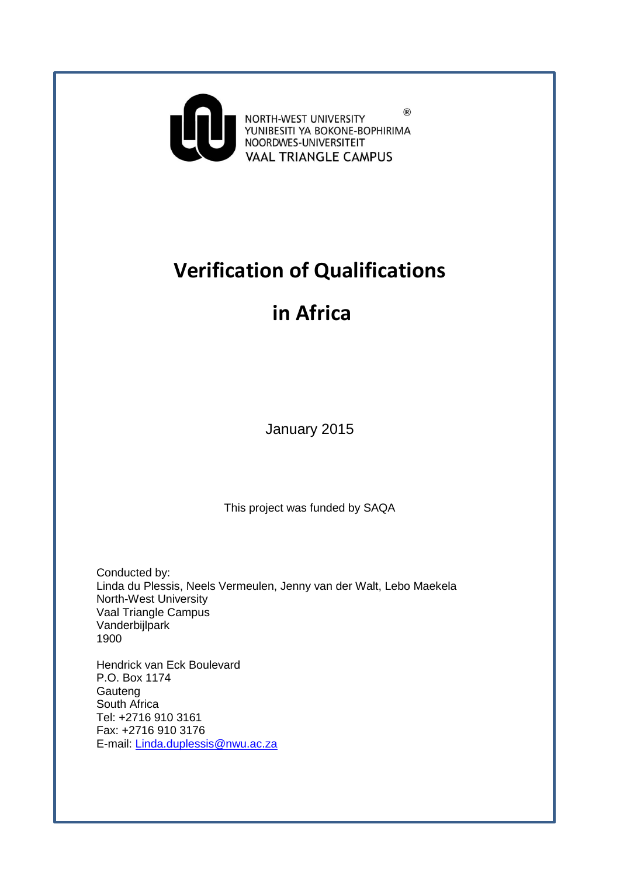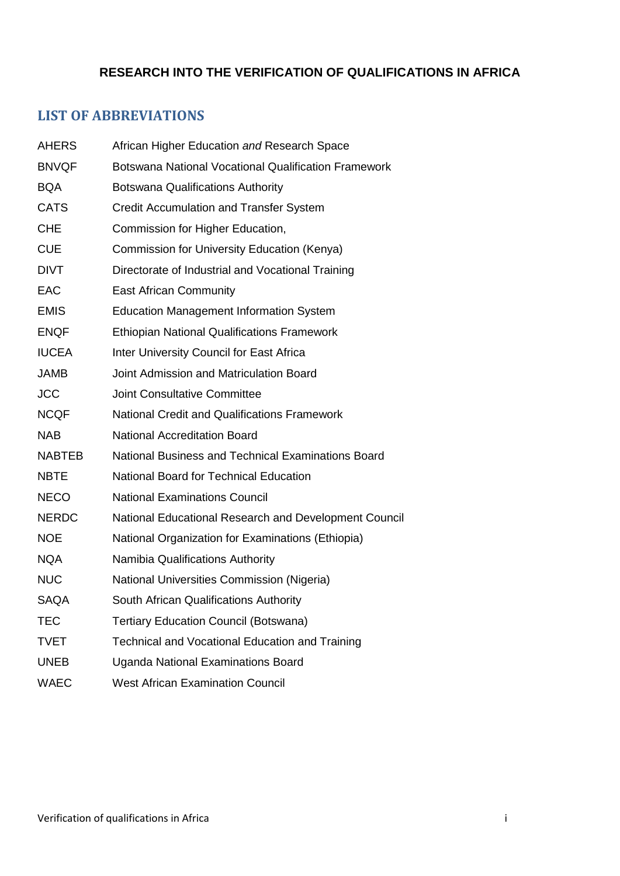# **RESEARCH INTO THE VERIFICATION OF QUALIFICATIONS IN AFRICA**

# <span id="page-1-0"></span>**LIST OF ABBREVIATIONS**

| <b>AHERS</b>  | African Higher Education and Research Space           |
|---------------|-------------------------------------------------------|
| <b>BNVQF</b>  | Botswana National Vocational Qualification Framework  |
| <b>BQA</b>    | <b>Botswana Qualifications Authority</b>              |
| <b>CATS</b>   | Credit Accumulation and Transfer System               |
| <b>CHE</b>    | Commission for Higher Education,                      |
| <b>CUE</b>    | Commission for University Education (Kenya)           |
| <b>DIVT</b>   | Directorate of Industrial and Vocational Training     |
| EAC           | <b>East African Community</b>                         |
| <b>EMIS</b>   | <b>Education Management Information System</b>        |
| <b>ENQF</b>   | <b>Ethiopian National Qualifications Framework</b>    |
| <b>IUCEA</b>  | Inter University Council for East Africa              |
| <b>JAMB</b>   | Joint Admission and Matriculation Board               |
| <b>JCC</b>    | <b>Joint Consultative Committee</b>                   |
| <b>NCQF</b>   | <b>National Credit and Qualifications Framework</b>   |
| <b>NAB</b>    | <b>National Accreditation Board</b>                   |
| <b>NABTEB</b> | National Business and Technical Examinations Board    |
| <b>NBTE</b>   | National Board for Technical Education                |
| <b>NECO</b>   | <b>National Examinations Council</b>                  |
| <b>NERDC</b>  | National Educational Research and Development Council |
| <b>NOE</b>    | National Organization for Examinations (Ethiopia)     |
| <b>NQA</b>    | Namibia Qualifications Authority                      |
| <b>NUC</b>    | National Universities Commission (Nigeria)            |
| <b>SAQA</b>   | South African Qualifications Authority                |
| <b>TEC</b>    | <b>Tertiary Education Council (Botswana)</b>          |
| <b>TVET</b>   | Technical and Vocational Education and Training       |
| <b>UNEB</b>   | Uganda National Examinations Board                    |
| <b>WAEC</b>   | <b>West African Examination Council</b>               |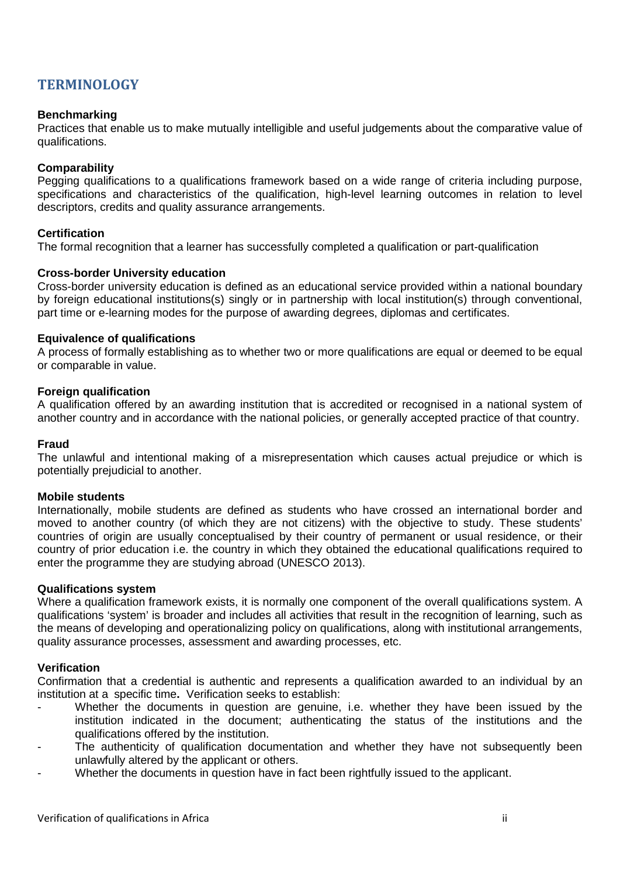# <span id="page-2-0"></span>**TERMINOLOGY**

### **Benchmarking**

Practices that enable us to make mutually intelligible and useful judgements about the comparative value of qualifications.

### **Comparability**

Pegging qualifications to a qualifications framework based on a wide range of criteria including purpose, specifications and characteristics of the qualification, high-level learning outcomes in relation to level descriptors, credits and quality assurance arrangements.

### **Certification**

The formal recognition that a learner has successfully completed a qualification or part-qualification

### **Cross-border University education**

Cross-border university education is defined as an educational service provided within a national boundary by foreign educational institutions(s) singly or in partnership with local institution(s) through conventional, part time or e-learning modes for the purpose of awarding degrees, diplomas and certificates.

#### **Equivalence of qualifications**

A process of formally establishing as to whether two or more qualifications are equal or deemed to be equal or comparable in value.

#### **Foreign qualification**

A qualification offered by an awarding institution that is accredited or recognised in a national system of another country and in accordance with the national policies, or generally accepted practice of that country.

#### **Fraud**

The unlawful and intentional making of a misrepresentation which causes actual prejudice or which is potentially prejudicial to another.

#### **Mobile students**

Internationally, mobile students are defined as students who have crossed an international border and moved to another country (of which they are not citizens) with the objective to study. These students' countries of origin are usually conceptualised by their country of permanent or usual residence, or their country of prior education i.e. the country in which they obtained the educational qualifications required to enter the programme they are studying abroad (UNESCO 2013).

#### **Qualifications system**

Where a qualification framework exists, it is normally one component of the overall qualifications system. A qualifications 'system' is broader and includes all activities that result in the recognition of learning, such as the means of developing and operationalizing policy on qualifications, along with institutional arrangements, quality assurance processes, assessment and awarding processes, etc.

#### **Verification**

Confirmation that a credential is authentic and represents a qualification awarded to an individual by an institution at a specific time**.** Verification seeks to establish:

- Whether the documents in question are genuine, i.e. whether they have been issued by the institution indicated in the document; authenticating the status of the institutions and the qualifications offered by the institution.
- The authenticity of qualification documentation and whether they have not subsequently been unlawfully altered by the applicant or others.
- Whether the documents in question have in fact been rightfully issued to the applicant.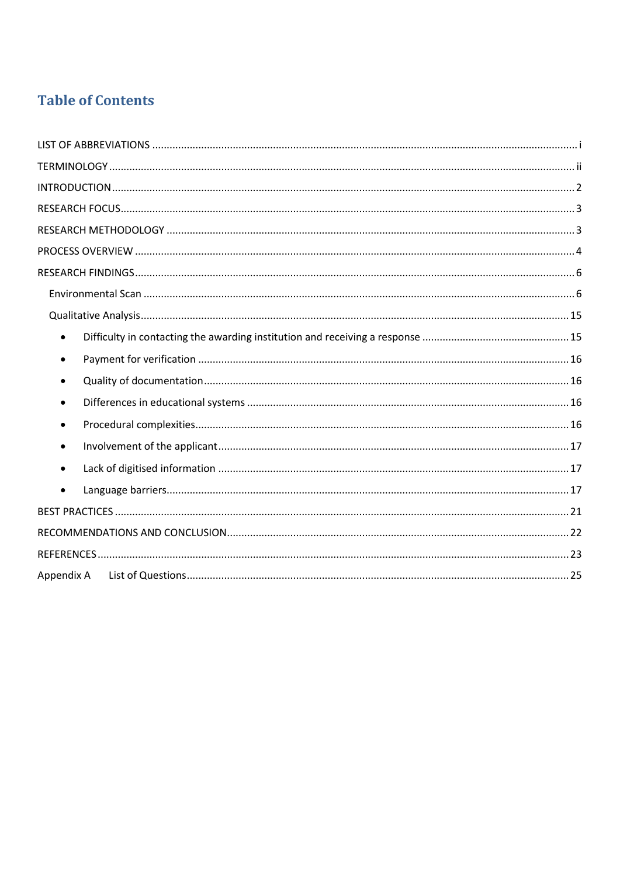# **Table of Contents**

| $\bullet$ |  |
|-----------|--|
| $\bullet$ |  |
| $\bullet$ |  |
| $\bullet$ |  |
| $\bullet$ |  |
| $\bullet$ |  |
|           |  |
|           |  |
|           |  |
|           |  |
|           |  |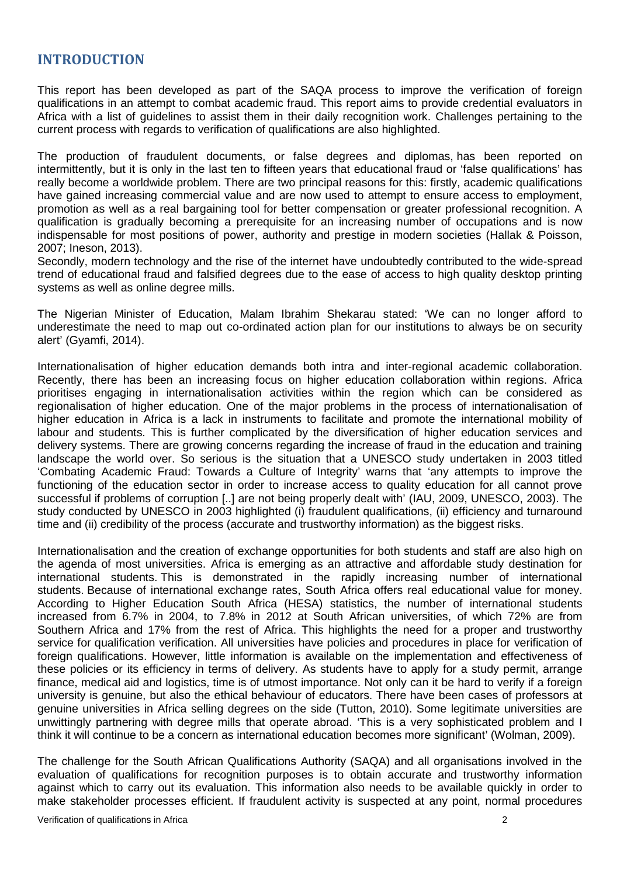## <span id="page-4-0"></span>**INTRODUCTION**

This report has been developed as part of the SAQA process to improve the verification of foreign qualifications in an attempt to combat academic fraud. This report aims to provide credential evaluators in Africa with a list of guidelines to assist them in their daily recognition work. Challenges pertaining to the current process with regards to verification of qualifications are also highlighted.

The production of fraudulent documents, or false degrees and diplomas, has been reported on intermittently, but it is only in the last ten to fifteen years that educational fraud or 'false qualifications' has really become a worldwide problem. There are two principal reasons for this: firstly, academic qualifications have gained increasing commercial value and are now used to attempt to ensure access to employment, promotion as well as a real bargaining tool for better compensation or greater professional recognition. A qualification is gradually becoming a prerequisite for an increasing number of occupations and is now indispensable for most positions of power, authority and prestige in modern societies (Hallak & Poisson, 2007; Ineson, 2013).

Secondly, modern technology and the rise of the internet have undoubtedly contributed to the wide-spread trend of educational fraud and falsified degrees due to the ease of access to high quality desktop printing systems as well as online degree mills.

The Nigerian Minister of Education, Malam Ibrahim Shekarau stated: 'We can no longer afford to underestimate the need to map out co-ordinated action plan for our institutions to always be on security alert' (Gyamfi, 2014).

Internationalisation of higher education demands both intra and inter-regional academic collaboration. Recently, there has been an increasing focus on higher education collaboration within regions. Africa prioritises engaging in internationalisation activities within the region which can be considered as regionalisation of higher education. One of the major problems in the process of internationalisation of higher education in Africa is a lack in instruments to facilitate and promote the international mobility of labour and students. This is further complicated by the diversification of higher education services and delivery systems. There are growing concerns regarding the increase of fraud in the education and training landscape the world over. So serious is the situation that a UNESCO study undertaken in 2003 titled 'Combating Academic Fraud: Towards a Culture of Integrity' warns that 'any attempts to improve the functioning of the education sector in order to increase access to quality education for all cannot prove successful if problems of corruption [..] are not being properly dealt with' (IAU, 2009, UNESCO, 2003). The study conducted by UNESCO in 2003 highlighted (i) fraudulent qualifications, (ii) efficiency and turnaround time and (ii) credibility of the process (accurate and trustworthy information) as the biggest risks.

Internationalisation and the creation of exchange opportunities for both students and staff are also high on the agenda of most universities. Africa is emerging as an attractive and affordable study destination for international students. This is demonstrated in the rapidly increasing number of international students. Because of international exchange rates, South Africa offers real educational value for money. According to Higher Education South Africa (HESA) statistics, the number of international students increased from 6.7% in 2004, to 7.8% in 2012 at South African universities, of which 72% are from Southern Africa and 17% from the rest of Africa. This highlights the need for a proper and trustworthy service for qualification verification. All universities have policies and procedures in place for verification of foreign qualifications. However, little information is available on the implementation and effectiveness of these policies or its efficiency in terms of delivery. As students have to apply for a study permit, arrange finance, medical aid and logistics, time is of utmost importance. Not only can it be hard to verify if a foreign university is genuine, but also the ethical behaviour of educators. There have been cases of professors at genuine universities in Africa selling degrees on the side (Tutton, 2010). Some legitimate universities are unwittingly partnering with degree mills that operate abroad. 'This is a very sophisticated problem and I think it will continue to be a concern as international education becomes more significant' (Wolman, 2009).

The challenge for the South African Qualifications Authority (SAQA) and all organisations involved in the evaluation of qualifications for recognition purposes is to obtain accurate and trustworthy information against which to carry out its evaluation. This information also needs to be available quickly in order to make stakeholder processes efficient. If fraudulent activity is suspected at any point, normal procedures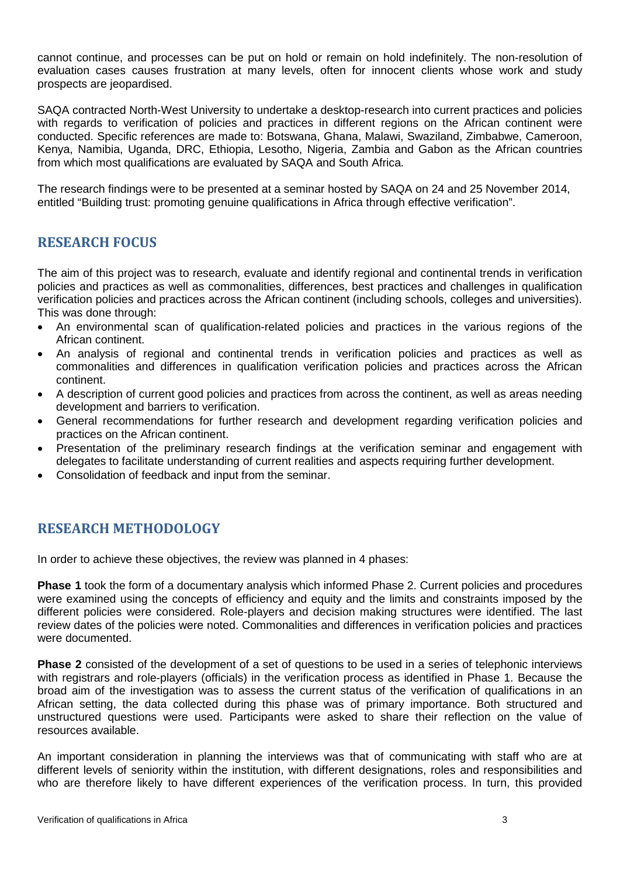cannot continue, and processes can be put on hold or remain on hold indefinitely. The non-resolution of evaluation cases causes frustration at many levels, often for innocent clients whose work and study prospects are jeopardised.

SAQA contracted North-West University to undertake a desktop-research into current practices and policies with regards to verification of policies and practices in different regions on the African continent were conducted. Specific references are made to: Botswana, Ghana, Malawi, Swaziland, Zimbabwe, Cameroon, Kenya, Namibia, Uganda, DRC, Ethiopia, Lesotho, Nigeria, Zambia and Gabon as the African countries from which most qualifications are evaluated by SAQA and South Africa.

<span id="page-5-0"></span>The research findings were to be presented at a seminar hosted by SAQA on 24 and 25 November 2014, entitled "Building trust: promoting genuine qualifications in Africa through effective verification".

# **RESEARCH FOCUS**

The aim of this project was to research, evaluate and identify regional and continental trends in verification policies and practices as well as commonalities, differences, best practices and challenges in qualification verification policies and practices across the African continent (including schools, colleges and universities). This was done through:

- An environmental scan of qualification-related policies and practices in the various regions of the African continent.
- An analysis of regional and continental trends in verification policies and practices as well as commonalities and differences in qualification verification policies and practices across the African continent.
- A description of current good policies and practices from across the continent, as well as areas needing development and barriers to verification.
- General recommendations for further research and development regarding verification policies and practices on the African continent.
- Presentation of the preliminary research findings at the verification seminar and engagement with delegates to facilitate understanding of current realities and aspects requiring further development.
- <span id="page-5-1"></span>• Consolidation of feedback and input from the seminar.

# **RESEARCH METHODOLOGY**

In order to achieve these objectives, the review was planned in 4 phases:

**Phase 1** took the form of a documentary analysis which informed Phase 2. Current policies and procedures were examined using the concepts of efficiency and equity and the limits and constraints imposed by the different policies were considered. Role-players and decision making structures were identified. The last review dates of the policies were noted. Commonalities and differences in verification policies and practices were documented.

**Phase 2** consisted of the development of a set of questions to be used in a series of telephonic interviews with registrars and role-players (officials) in the verification process as identified in Phase 1. Because the broad aim of the investigation was to assess the current status of the verification of qualifications in an African setting, the data collected during this phase was of primary importance. Both structured and unstructured questions were used. Participants were asked to share their reflection on the value of resources available.

An important consideration in planning the interviews was that of communicating with staff who are at different levels of seniority within the institution, with different designations, roles and responsibilities and who are therefore likely to have different experiences of the verification process. In turn, this provided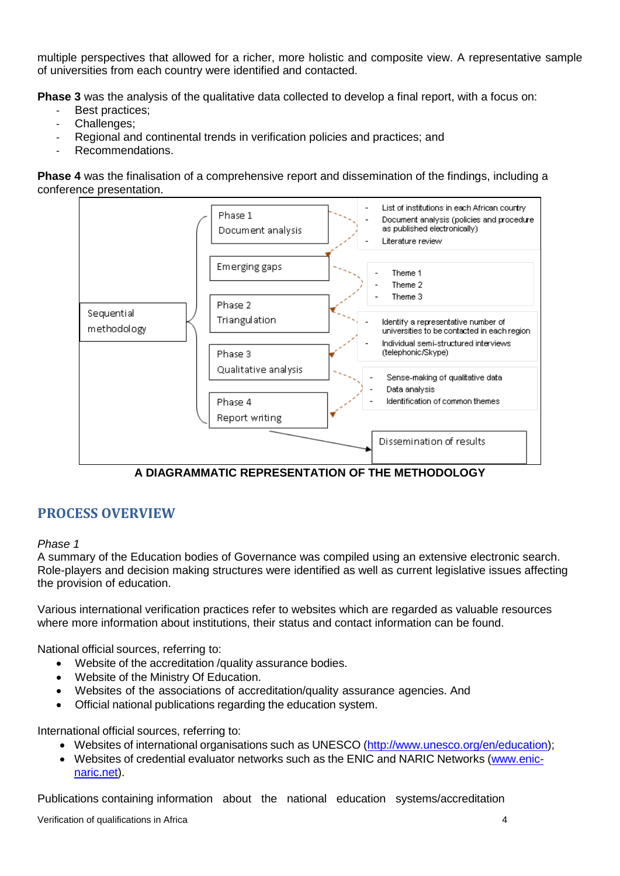multiple perspectives that allowed for a richer, more holistic and composite view. A representative sample of universities from each country were identified and contacted.

**Phase 3** was the analysis of the qualitative data collected to develop a final report, with a focus on:

- Best practices:
- Challenges;
- Regional and continental trends in verification policies and practices; and
- Recommendations.

**Phase 4** was the finalisation of a comprehensive report and dissemination of the findings, including a conference presentation.



**A DIAGRAMMATIC REPRESENTATION OF THE METHODOLOGY**

# <span id="page-6-0"></span>**PROCESS OVERVIEW**

### *Phase 1*

A summary of the Education bodies of Governance was compiled using an extensive electronic search. Role-players and decision making structures were identified as well as current legislative issues affecting the provision of education.

Various international verification practices refer to websites which are regarded as valuable resources where more information about institutions, their status and contact information can be found.

National official sources, referring to:

- Website of the accreditation /quality assurance bodies.
- Website of the Ministry Of Education.
- Websites of the associations of accreditation/quality assurance agencies. And
- Official national publications regarding the education system.

International official sources, referring to:

- Websites of international organisations such as UNESCO [\(http://www.unesco.org/en/education\)](http://www.unesco.org/en/education);
- Websites of credential evaluator networks such as the ENIC and NARIC Networks [\(www.enic](http://www.enic-naric.net/)[naric.net\)](http://www.enic-naric.net/).

Publications containing information about the national education systems/accreditation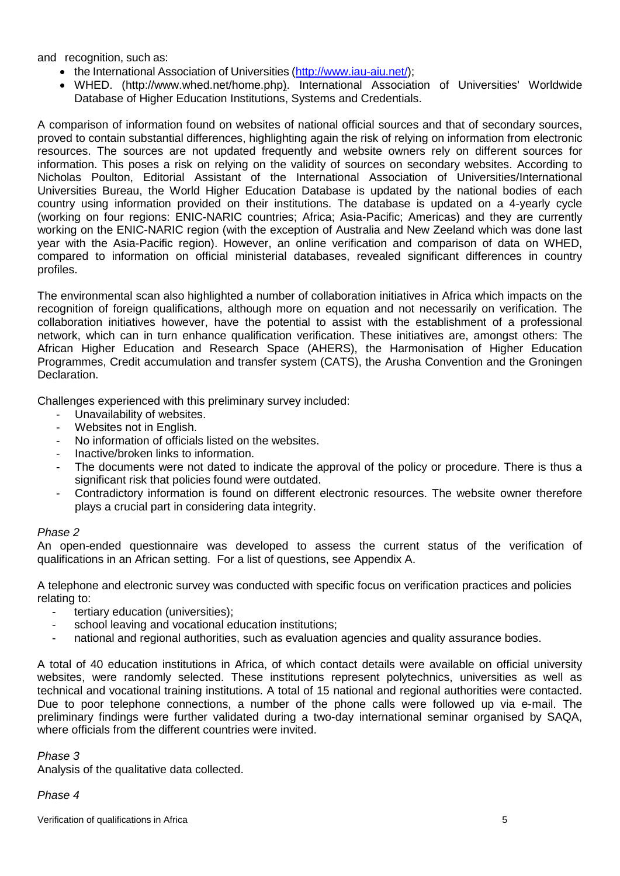and recognition, such as:

- the International Association of Universities [\(http://www.iau-aiu.net/\)](http://www.iau-aiu.net/);
- WHED. [\(http://www.whed.net/home.php\)](http://www.whed.net/home.php). [International Association of Universities' Worldwide](http://www.whed.net/home.php)  [Database of Higher Education Institutions, Systems and Credentials.](http://www.whed.net/home.php)

A comparison of information found on websites of national official sources and that of secondary sources, proved to contain substantial differences, highlighting again the risk of relying on information from electronic resources. The sources are not updated frequently and website owners rely on different sources for information. This poses a risk on relying on the validity of sources on secondary websites. According to Nicholas Poulton, Editorial Assistant of the International Association of Universities/International Universities Bureau, the World Higher Education Database is updated by the national bodies of each country using information provided on their institutions. The database is updated on a 4-yearly cycle (working on four regions: ENIC-NARIC countries; Africa; Asia-Pacific; Americas) and they are currently working on the ENIC-NARIC region (with the exception of Australia and New Zeeland which was done last year with the Asia-Pacific region). However, an online verification and comparison of data on WHED, compared to information on official ministerial databases, revealed significant differences in country profiles.

The environmental scan also highlighted a number of collaboration initiatives in Africa which impacts on the recognition of foreign qualifications, although more on equation and not necessarily on verification. The collaboration initiatives however, have the potential to assist with the establishment of a professional network, which can in turn enhance qualification verification. These initiatives are, amongst others: The African Higher Education and Research Space (AHERS), the Harmonisation of Higher Education Programmes, Credit accumulation and transfer system (CATS), the Arusha Convention and the Groningen Declaration.

Challenges experienced with this preliminary survey included:

- Unavailability of websites.
- Websites not in English.
- No information of officials listed on the websites.
- Inactive/broken links to information.
- The documents were not dated to indicate the approval of the policy or procedure. There is thus a significant risk that policies found were outdated.
- Contradictory information is found on different electronic resources. The website owner therefore plays a crucial part in considering data integrity.

### *Phase 2*

An open-ended questionnaire was developed to assess the current status of the verification of qualifications in an African setting. For a list of questions, see Appendix A.

A telephone and electronic survey was conducted with specific focus on verification practices and policies relating to:

- tertiary education (universities);
- school leaving and vocational education institutions;
- national and regional authorities, such as evaluation agencies and quality assurance bodies.

A total of 40 education institutions in Africa, of which contact details were available on official university websites, were randomly selected. These institutions represent polytechnics, universities as well as technical and vocational training institutions. A total of 15 national and regional authorities were contacted. Due to poor telephone connections, a number of the phone calls were followed up via e-mail. The preliminary findings were further validated during a two-day international seminar organised by SAQA, where officials from the different countries were invited.

### *Phase 3*

Analysis of the qualitative data collected.

*Phase 4*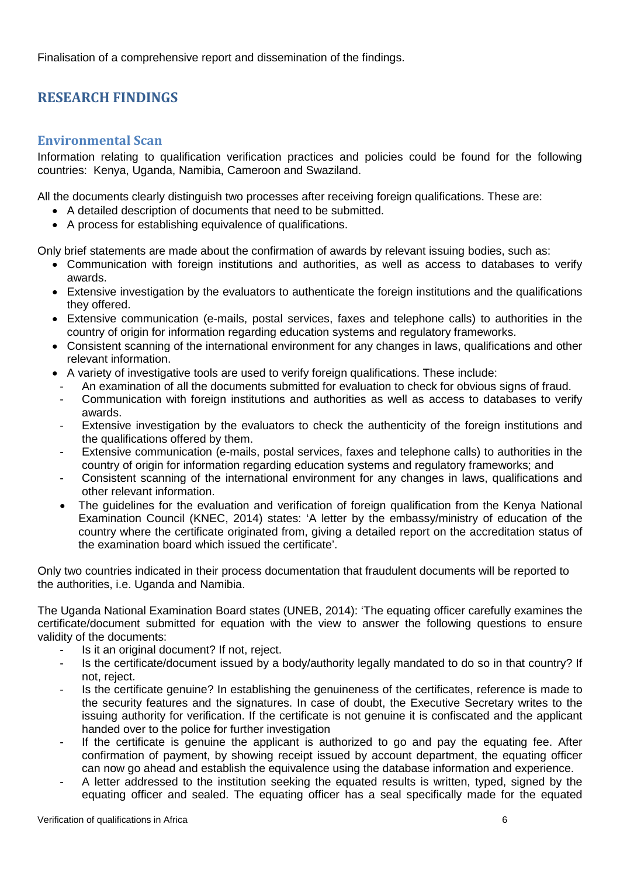<span id="page-8-0"></span>Finalisation of a comprehensive report and dissemination of the findings.

# **RESEARCH FINDINGS**

### <span id="page-8-1"></span>**Environmental Scan**

Information relating to qualification verification practices and policies could be found for the following countries: Kenya, Uganda, Namibia, Cameroon and Swaziland.

All the documents clearly distinguish two processes after receiving foreign qualifications. These are:

- A detailed description of documents that need to be submitted.
- A process for establishing equivalence of qualifications.

Only brief statements are made about the confirmation of awards by relevant issuing bodies, such as:

- Communication with foreign institutions and authorities, as well as access to databases to verify awards.
- Extensive investigation by the evaluators to authenticate the foreign institutions and the qualifications they offered.
- Extensive communication (e-mails, postal services, faxes and telephone calls) to authorities in the country of origin for information regarding education systems and regulatory frameworks.
- Consistent scanning of the international environment for any changes in laws, qualifications and other relevant information.
- A variety of investigative tools are used to verify foreign qualifications. These include:
- An examination of all the documents submitted for evaluation to check for obvious signs of fraud.
- Communication with foreign institutions and authorities as well as access to databases to verify awards.
- Extensive investigation by the evaluators to check the authenticity of the foreign institutions and the qualifications offered by them.
- Extensive communication (e-mails, postal services, faxes and telephone calls) to authorities in the country of origin for information regarding education systems and regulatory frameworks; and
- Consistent scanning of the international environment for any changes in laws, qualifications and other relevant information.
- The guidelines for the evaluation and verification of foreign qualification from the Kenya National Examination Council (KNEC, 2014) states: 'A letter by the embassy/ministry of education of the country where the certificate originated from, giving a detailed report on the accreditation status of the examination board which issued the certificate'.

Only two countries indicated in their process documentation that fraudulent documents will be reported to the authorities, i.e. Uganda and Namibia.

The Uganda National Examination Board states (UNEB, 2014): 'The equating officer carefully examines the certificate/document submitted for equation with the view to answer the following questions to ensure validity of the documents:

- Is it an original document? If not, reject.
- Is the certificate/document issued by a body/authority legally mandated to do so in that country? If not, reject.
- Is the certificate genuine? In establishing the genuineness of the certificates, reference is made to the security features and the signatures. In case of doubt, the Executive Secretary writes to the issuing authority for verification. If the certificate is not genuine it is confiscated and the applicant handed over to the police for further investigation
- If the certificate is genuine the applicant is authorized to go and pay the equating fee. After confirmation of payment, by showing receipt issued by account department, the equating officer can now go ahead and establish the equivalence using the database information and experience.
- A letter addressed to the institution seeking the equated results is written, typed, signed by the equating officer and sealed. The equating officer has a seal specifically made for the equated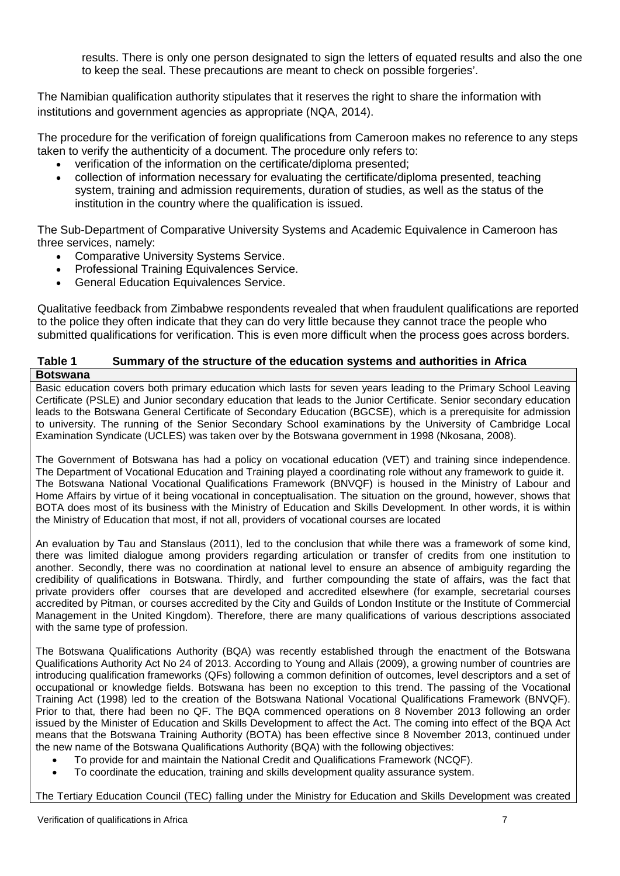results. There is only one person designated to sign the letters of equated results and also the one to keep the seal. These precautions are meant to check on possible forgeries'.

The Namibian qualification authority stipulates that it reserves the right to share the information with institutions and government agencies as appropriate (NQA, 2014).

The procedure for the verification of foreign qualifications from Cameroon makes no reference to any steps taken to verify the authenticity of a document. The procedure only refers to:

- verification of the information on the certificate/diploma presented;
- collection of information necessary for evaluating the certificate/diploma presented, teaching system, training and admission requirements, duration of studies, as well as the status of the institution in the country where the qualification is issued.

The Sub-Department of Comparative University Systems and Academic Equivalence in Cameroon has three services, namely:

- Comparative University Systems Service.
- Professional Training Equivalences Service.
- General Education Equivalences Service.

Qualitative feedback from Zimbabwe respondents revealed that when fraudulent qualifications are reported to the police they often indicate that they can do very little because they cannot trace the people who submitted qualifications for verification. This is even more difficult when the process goes across borders.

# **Table 1 Summary of the structure of the education systems and authorities in Africa**

**Botswana** Basic education covers both primary education which lasts for seven years leading to the Primary School Leaving Certificate (PSLE) and Junior secondary education that leads to the Junior Certificate. Senior secondary education leads to the Botswana General Certificate of Secondary Education (BGCSE), which is a prerequisite for admission to university. The running of the Senior Secondary School examinations by the University of Cambridge Local Examination Syndicate (UCLES) was taken over by the Botswana government in 1998 (Nkosana, 2008).

The Government of Botswana has had a policy on vocational education (VET) and training since independence. The Department of Vocational Education and Training played a coordinating role without any framework to guide it. The Botswana National Vocational Qualifications Framework (BNVQF) is housed in the Ministry of Labour and Home Affairs by virtue of it being vocational in conceptualisation. The situation on the ground, however, shows that BOTA does most of its business with the Ministry of Education and Skills Development. In other words, it is within the Ministry of Education that most, if not all, providers of vocational courses are located

An evaluation by Tau and Stanslaus (2011), led to the conclusion that while there was a framework of some kind, there was limited dialogue among providers regarding articulation or transfer of credits from one institution to another. Secondly, there was no coordination at national level to ensure an absence of ambiguity regarding the credibility of qualifications in Botswana. Thirdly, and further compounding the state of affairs, was the fact that private providers offer courses that are developed and accredited elsewhere (for example, secretarial courses accredited by Pitman, or courses accredited by the City and Guilds of London Institute or the Institute of Commercial Management in the United Kingdom). Therefore, there are many qualifications of various descriptions associated with the same type of profession.

The Botswana Qualifications Authority (BQA) was recently established through the enactment of the Botswana Qualifications Authority Act No 24 of 2013. According to Young and Allais (2009), a growing number of countries are introducing qualification frameworks (QFs) following a common definition of outcomes, level descriptors and a set of occupational or knowledge fields. Botswana has been no exception to this trend. The passing of the Vocational Training Act (1998) led to the creation of the Botswana National Vocational Qualifications Framework (BNVQF). Prior to that, there had been no QF. The BQA commenced operations on 8 November 2013 following an order issued by the Minister of Education and Skills Development to affect the Act. The coming into effect of the BQA Act means that the Botswana Training Authority (BOTA) has been effective since 8 November 2013, continued under the new name of the Botswana Qualifications Authority (BQA) with the following objectives:

- To provide for and maintain the National Credit and Qualifications Framework (NCQF).
- To coordinate the education, training and skills development quality assurance system.

The Tertiary Education Council (TEC) falling under the Ministry for Education and Skills Development was created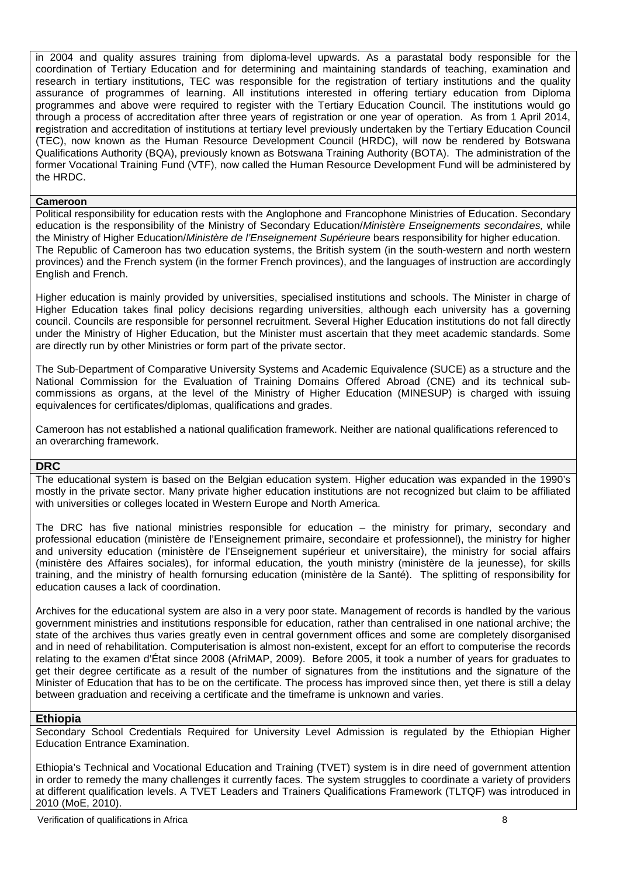in 2004 and quality assures training from diploma-level upwards. As a parastatal body responsible for the coordination of Tertiary Education and for determining and maintaining standards of teaching, examination and research in tertiary institutions, TEC was responsible for the registration of tertiary institutions and the quality assurance of programmes of learning. All institutions interested in offering tertiary education from Diploma programmes and above were required to register with the Tertiary Education Council. The institutions would go through a process of accreditation after three years of registration or one year of operation. As from 1 April 2014, **r**egistration and accreditation of institutions at tertiary level previously undertaken by the Tertiary Education Council (TEC), now known as the Human Resource Development Council (HRDC), will now be rendered by Botswana Qualifications Authority (BQA), previously known as Botswana Training Authority (BOTA). The administration of the former Vocational Training Fund (VTF), now called the Human Resource Development Fund will be administered by the HRDC.

#### **Cameroon**

Political responsibility for education rests with the Anglophone and Francophone Ministries of Education. Secondary education is the responsibility of the Ministry of Secondary Education/*Ministère Enseignements secondaires,* while the Ministry of Higher Education/*Ministère de l'Enseignement Supérieure* bears responsibility for higher education. The Republic of Cameroon has two education systems, the British system (in the south-western and north western provinces) and the French system (in the former French provinces), and the languages of instruction are accordingly English and French.

Higher education is mainly provided by universities, specialised institutions and schools. The Minister in charge of Higher Education takes final policy decisions regarding universities, although each university has a governing council. Councils are responsible for personnel recruitment. Several Higher Education institutions do not fall directly under the Ministry of Higher Education, but the Minister must ascertain that they meet academic standards. Some are directly run by other Ministries or form part of the private sector.

The Sub-Department of Comparative University Systems and Academic Equivalence (SUCE) as a structure and the National Commission for the Evaluation of Training Domains Offered Abroad (CNE) and its technical subcommissions as organs, at the level of the Ministry of Higher Education (MINESUP) is charged with issuing equivalences for certificates/diplomas, qualifications and grades.

Cameroon has not established a national qualification framework. Neither are national qualifications referenced to an overarching framework.

#### **DRC**

The educational system is based on the Belgian education system. Higher education was expanded in the 1990's mostly in the private sector. Many private higher education institutions are not recognized but claim to be affiliated with universities or colleges located in Western Europe and North America.

The DRC has five national ministries responsible for education – the ministry for primary, secondary and professional education (ministère de l'Enseignement primaire, secondaire et professionnel), the ministry for higher and university education (ministère de l'Enseignement supérieur et universitaire), the ministry for social affairs (ministère des Affaires sociales), for informal education, the youth ministry (ministère de la jeunesse), for skills training, and the ministry of health fornursing education (ministère de la Santé). The splitting of responsibility for education causes a lack of coordination.

Archives for the educational system are also in a very poor state. Management of records is handled by the various government ministries and institutions responsible for education, rather than centralised in one national archive; the state of the archives thus varies greatly even in central government offices and some are completely disorganised and in need of rehabilitation. Computerisation is almost non-existent, except for an effort to computerise the records relating to the examen d'État since 2008 (AfriMAP, 2009). Before 2005, it took a number of years for graduates to get their degree certificate as a result of the number of signatures from the institutions and the signature of the Minister of Education that has to be on the certificate. The process has improved since then, yet there is still a delay between graduation and receiving a certificate and the timeframe is unknown and varies.

#### **Ethiopia**

Secondary School Credentials Required for University Level Admission is regulated by the Ethiopian Higher Education Entrance Examination.

Ethiopia's Technical and Vocational Education and Training (TVET) system is in dire need of government attention in order to remedy the many challenges it currently faces. The system struggles to coordinate a variety of providers at different qualification levels. A TVET Leaders and Trainers Qualifications Framework (TLTQF) was introduced in 2010 (MoE, 2010).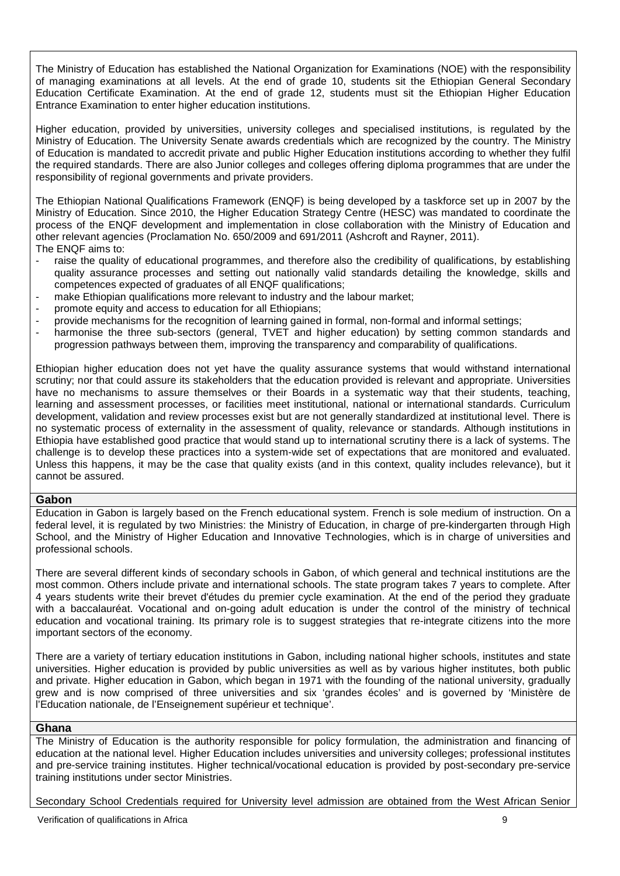The Ministry of Education has established the National Organization for Examinations (NOE) with the responsibility of managing examinations at all levels. At the end of grade 10, students sit the Ethiopian General Secondary Education Certificate Examination. At the end of grade 12, students must sit the Ethiopian Higher Education Entrance Examination to enter higher education institutions.

Higher education, provided by universities, university colleges and specialised institutions, is regulated by the Ministry of Education. The University Senate awards credentials which are recognized by the country. The Ministry of Education is mandated to accredit private and public Higher Education institutions according to whether they fulfil the required standards. There are also Junior colleges and colleges offering diploma programmes that are under the responsibility of regional governments and private providers.

The Ethiopian National Qualifications Framework (ENQF) is being developed by a taskforce set up in 2007 by the Ministry of Education. Since 2010, the Higher Education Strategy Centre (HESC) was mandated to coordinate the process of the ENQF development and implementation in close collaboration with the Ministry of Education and other relevant agencies (Proclamation No. 650/2009 and 691/2011 (Ashcroft and Rayner, 2011). The ENQF aims to:

- raise the quality of educational programmes, and therefore also the credibility of qualifications, by establishing quality assurance processes and setting out nationally valid standards detailing the knowledge, skills and competences expected of graduates of all ENQF qualifications;
- make Ethiopian qualifications more relevant to industry and the labour market;
- promote equity and access to education for all Ethiopians;
- provide mechanisms for the recognition of learning gained in formal, non-formal and informal settings;
- harmonise the three sub-sectors (general, TVET and higher education) by setting common standards and progression pathways between them, improving the transparency and comparability of qualifications.

Ethiopian higher education does not yet have the quality assurance systems that would withstand international scrutiny; nor that could assure its stakeholders that the education provided is relevant and appropriate. Universities have no mechanisms to assure themselves or their Boards in a systematic way that their students, teaching, learning and assessment processes, or facilities meet institutional, national or international standards. Curriculum development, validation and review processes exist but are not generally standardized at institutional level. There is no systematic process of externality in the assessment of quality, relevance or standards. Although institutions in Ethiopia have established good practice that would stand up to international scrutiny there is a lack of systems. The challenge is to develop these practices into a system-wide set of expectations that are monitored and evaluated. Unless this happens, it may be the case that quality exists (and in this context, quality includes relevance), but it cannot be assured.

#### **Gabon**

Education in Gabon is largely based on the French educational system. French is sole medium of instruction. On a federal level, it is regulated by two Ministries: the Ministry of Education, in charge of pre-kindergarten through High School, and the Ministry of Higher Education and Innovative Technologies, which is in charge of universities and professional schools.

There are several different kinds of secondary schools in Gabon, of which general and technical institutions are the most common. Others include private and international schools. The state program takes 7 years to complete. After 4 years students write their brevet d'études du premier cycle examination. At the end of the period they graduate with a baccalauréat. Vocational and on-going adult education is under the control of the ministry of technical education and vocational training. Its primary role is to suggest strategies that re-integrate citizens into the more important sectors of the economy.

There are a variety of tertiary education institutions in Gabon, including national higher schools, institutes and state universities. Higher education is provided by public universities as well as by various higher institutes, both public and private. Higher education in Gabon, which began in 1971 with the founding of the national university, gradually grew and is now comprised of three universities and six 'grandes écoles' and is governed by 'Ministère de l'Education nationale, de l'Enseignement supérieur et technique'.

#### **Ghana**

The Ministry of Education is the authority responsible for policy formulation, the administration and financing of education at the national level. Higher Education includes universities and university colleges; professional institutes and pre-service training institutes. Higher technical/vocational education is provided by post-secondary pre-service training institutions under sector Ministries.

Secondary School Credentials required for University level admission are obtained from the West African Senior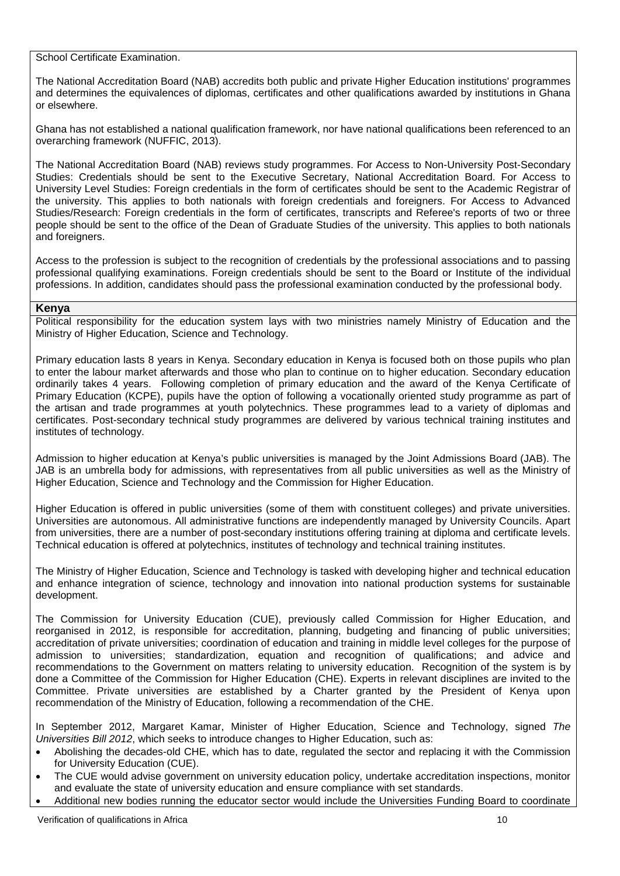School Certificate Examination.

The National Accreditation Board (NAB) accredits both public and private Higher Education institutions' programmes and determines the equivalences of diplomas, certificates and other qualifications awarded by institutions in Ghana or elsewhere.

Ghana has not established a national qualification framework, nor have national qualifications been referenced to an overarching framework (NUFFIC, 2013).

The National Accreditation Board (NAB) reviews study programmes. For Access to Non-University Post-Secondary Studies: Credentials should be sent to the Executive Secretary, National Accreditation Board. For Access to University Level Studies: Foreign credentials in the form of certificates should be sent to the Academic Registrar of the university. This applies to both nationals with foreign credentials and foreigners. For Access to Advanced Studies/Research: Foreign credentials in the form of certificates, transcripts and Referee's reports of two or three people should be sent to the office of the Dean of Graduate Studies of the university. This applies to both nationals and foreigners.

Access to the profession is subject to the recognition of credentials by the professional associations and to passing professional qualifying examinations. Foreign credentials should be sent to the Board or Institute of the individual professions. In addition, candidates should pass the professional examination conducted by the professional body.

### **Kenya**

Political responsibility for the education system lays with two ministries namely Ministry of Education and the Ministry of Higher Education, Science and Technology.

Primary education lasts 8 years in Kenya. Secondary education in Kenya is focused both on those pupils who plan to enter the labour market afterwards and those who plan to continue on to higher education. Secondary education ordinarily takes 4 years. Following completion of primary education and the award of the Kenya Certificate of Primary Education (KCPE), pupils have the option of following a vocationally oriented study programme as part of the artisan and trade programmes at youth polytechnics. These programmes lead to a variety of diplomas and certificates. Post-secondary technical study programmes are delivered by various technical training institutes and institutes of technology.

Admission to higher education at Kenya's public universities is managed by the Joint Admissions Board (JAB). The JAB is an umbrella body for admissions, with representatives from all public universities as well as the Ministry of Higher Education, Science and Technology and the Commission for Higher Education.

Higher Education is offered in public universities (some of them with constituent colleges) and private universities. Universities are autonomous. All administrative functions are independently managed by University Councils. Apart from universities, there are a number of post-secondary institutions offering training at diploma and certificate levels. Technical education is offered at polytechnics, institutes of technology and technical training institutes.

The Ministry of Higher Education, Science and Technology is tasked with developing higher and technical education and enhance integration of science, technology and innovation into national production systems for sustainable development.

The Commission for University Education (CUE), previously called Commission for Higher Education, and reorganised in 2012, is responsible for accreditation, planning, budgeting and financing of public universities; accreditation of private universities; coordination of education and training in middle level colleges for the purpose of admission to universities; standardization, equation and recognition of qualifications; and advice and recommendations to the Government on matters relating to university education. Recognition of the system is by done a Committee of the Commission for Higher Education (CHE). Experts in relevant disciplines are invited to the Committee. Private universities are established by a Charter granted by the President of Kenya upon recommendation of the Ministry of Education, following a recommendation of the CHE.

In September 2012, Margaret Kamar, Minister of Higher Education, Science and Technology, signed *The Universities Bill 2012*, which seeks to introduce changes to Higher Education, such as:

- Abolishing the decades-old CHE, which has to date, regulated the sector and replacing it with the Commission for University Education (CUE).
- The CUE would advise government on university education policy, undertake accreditation inspections, monitor and evaluate the state of university education and ensure compliance with set standards.
- Additional new bodies running the educator sector would include the Universities Funding Board to coordinate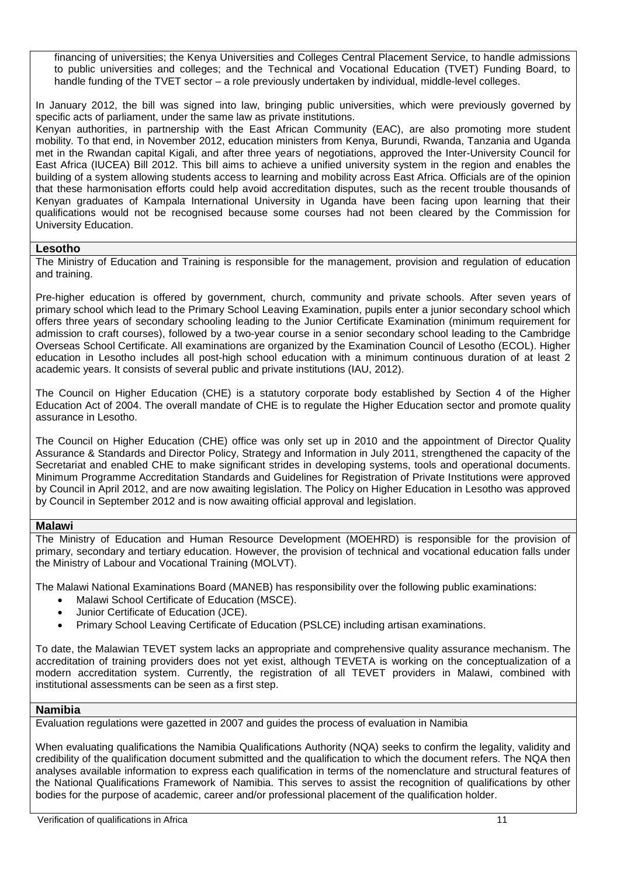financing of universities; the Kenya Universities and Colleges Central Placement Service, to handle admissions to public universities and colleges; and the Technical and Vocational Education (TVET) Funding Board, to handle funding of the TVET sector – a role previously undertaken by individual, middle-level colleges.

In January 2012, the bill was signed into law, bringing public universities, which were previously governed by specific acts of parliament, under the same law as private institutions.

Kenyan authorities, in partnership with the East African Community (EAC), are also promoting more student mobility. To that end, in November 2012, education ministers from Kenya, Burundi, Rwanda, Tanzania and Uganda met in the Rwandan capital Kigali, and after three years of negotiations, approved the Inter-University Council for East Africa (IUCEA) Bill 2012. This bill aims to achieve a unified university system in the region and enables the building of a system allowing students access to learning and mobility across East Africa. Officials are of the opinion that these harmonisation efforts could help avoid accreditation disputes, such as the recent trouble thousands of Kenyan graduates of Kampala International University in Uganda have been facing upon learning that their qualifications would not be recognised because some courses had not been cleared by the Commission for University Education.

### **Lesotho**

The Ministry of Education and Training is responsible for the management, provision and regulation of education and training.

Pre-higher education is offered by government, church, community and private schools. After seven years of primary school which lead to the Primary School Leaving Examination, pupils enter a junior secondary school which offers three years of secondary schooling leading to the Junior Certificate Examination (minimum requirement for admission to craft courses), followed by a two-year course in a senior secondary school leading to the Cambridge Overseas School Certificate. All examinations are organized by the Examination Council of Lesotho (ECOL). Higher education in Lesotho includes all post-high school education with a minimum continuous duration of at least 2 academic years. It consists of several public and private institutions (IAU, 2012).

The Council on Higher Education (CHE) is a statutory corporate body established by Section 4 of the Higher Education Act of 2004. The overall mandate of CHE is to regulate the Higher Education sector and promote quality assurance in Lesotho.

The Council on Higher Education (CHE) office was only set up in 2010 and the appointment of Director Quality Assurance & Standards and Director Policy, Strategy and Information in July 2011, strengthened the capacity of the Secretariat and enabled CHE to make significant strides in developing systems, tools and operational documents. Minimum Programme Accreditation Standards and Guidelines for Registration of Private Institutions were approved by Council in April 2012, and are now awaiting legislation. The Policy on Higher Education in Lesotho was approved by Council in September 2012 and is now awaiting official approval and legislation.

#### **Malawi**

The Ministry of Education and Human Resource Development (MOEHRD) is responsible for the provision of primary, secondary and tertiary education. However, the provision of technical and vocational education falls under the Ministry of Labour and Vocational Training (MOLVT).

The Malawi National Examinations Board (MANEB) has responsibility over the following public examinations:

- Malawi School Certificate of Education (MSCE).
- Junior Certificate of Education (JCE).
- Primary School Leaving Certificate of Education (PSLCE) including artisan examinations.

To date, the Malawian TEVET system lacks an appropriate and comprehensive quality assurance mechanism. The accreditation of training providers does not yet exist, although TEVETA is working on the conceptualization of a modern accreditation system. Currently, the registration of all TEVET providers in Malawi, combined with institutional assessments can be seen as a first step.

#### **Namibia**

Evaluation regulations were gazetted in 2007 and guides the process of evaluation in Namibia

When evaluating qualifications the Namibia Qualifications Authority (NQA) seeks to confirm the legality, validity and credibility of the qualification document submitted and the qualification to which the document refers. The NQA then analyses available information to express each qualification in terms of the nomenclature and structural features of the National Qualifications Framework of Namibia. This serves to assist the recognition of qualifications by other bodies for the purpose of academic, career and/or professional placement of the qualification holder.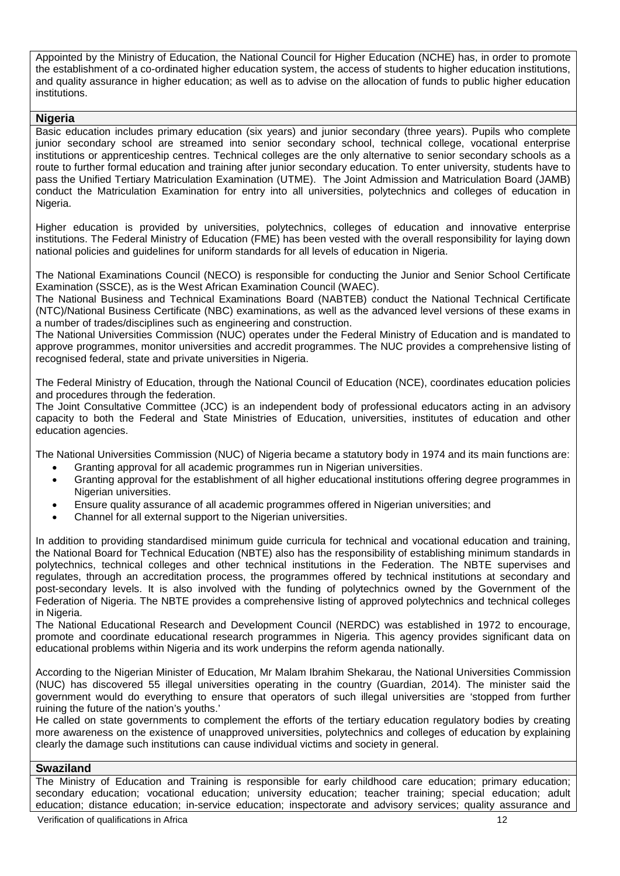Appointed by the Ministry of Education, the National Council for Higher Education (NCHE) has, in order to promote the establishment of a co-ordinated higher education system, the access of students to higher education institutions, and quality assurance in higher education; as well as to advise on the allocation of funds to public higher education institutions.

#### **Nigeria**

Basic education includes primary education (six years) and junior secondary (three years). Pupils who complete junior secondary school are streamed into senior secondary school, technical college, vocational enterprise institutions or apprenticeship centres. Technical colleges are the only alternative to senior secondary schools as a route to further formal education and training after junior secondary education. To enter university, students have to pass the Unified Tertiary Matriculation Examination (UTME). The Joint Admission and Matriculation Board (JAMB) conduct the Matriculation Examination for entry into all universities, polytechnics and colleges of education in Nigeria.

Higher education is provided by universities, polytechnics, colleges of education and innovative enterprise institutions. The Federal Ministry of Education (FME) has been vested with the overall responsibility for laying down national policies and guidelines for uniform standards for all levels of education in Nigeria.

The National Examinations Council (NECO) is responsible for conducting the Junior and Senior School Certificate Examination (SSCE), as is the West African Examination Council (WAEC).

The National Business and Technical Examinations Board (NABTEB) conduct the National Technical Certificate (NTC)/National Business Certificate (NBC) examinations, as well as the advanced level versions of these exams in a number of trades/disciplines such as engineering and construction.

The National Universities Commission (NUC) operates under the Federal Ministry of Education and is mandated to approve programmes, monitor universities and accredit programmes. The NUC provides a comprehensive listing of recognised federal, state and private universities in Nigeria.

The Federal Ministry of Education, through the National Council of Education (NCE), coordinates education policies and procedures through the federation.

The Joint Consultative Committee (JCC) is an independent body of professional educators acting in an advisory capacity to both the Federal and State Ministries of Education, universities, institutes of education and other education agencies.

The National Universities Commission (NUC) of Nigeria became a statutory body in 1974 and its main functions are:

- Granting approval for all academic programmes run in Nigerian universities.
- Granting approval for the establishment of all higher educational institutions offering degree programmes in Nigerian universities.
- Ensure quality assurance of all academic programmes offered in Nigerian universities; and
- Channel for all external support to the Nigerian universities.

In addition to providing standardised minimum guide curricula for technical and vocational education and training, the National Board for Technical Education (NBTE) also has the responsibility of establishing minimum standards in polytechnics, technical colleges and other technical institutions in the Federation. The NBTE supervises and regulates, through an accreditation process, the programmes offered by technical institutions at secondary and post-secondary levels. It is also involved with the funding of polytechnics owned by the Government of the Federation of Nigeria. The NBTE provides a comprehensive listing of approved polytechnics and technical colleges in Nigeria.

The National Educational Research and Development Council (NERDC) was established in 1972 to encourage, promote and coordinate educational research programmes in Nigeria. This agency provides significant data on educational problems within Nigeria and its work underpins the reform agenda nationally.

According to the Nigerian Minister of Education, Mr Malam Ibrahim Shekarau, the National Universities Commission (NUC) has discovered 55 illegal universities operating in the country (Guardian, 2014). The minister said the government would do everything to ensure that operators of such illegal universities are 'stopped from further ruining the future of the nation's youths.'

He called on state governments to complement the efforts of the tertiary education regulatory bodies by creating more awareness on the existence of unapproved universities, polytechnics and colleges of education by explaining clearly the damage such institutions can cause individual victims and society in general.

#### **Swaziland**

The Ministry of Education and Training is responsible for early childhood care education; primary education; secondary education; vocational education; university education; teacher training; special education; adult education; distance education; in-service education; inspectorate and advisory services; quality assurance and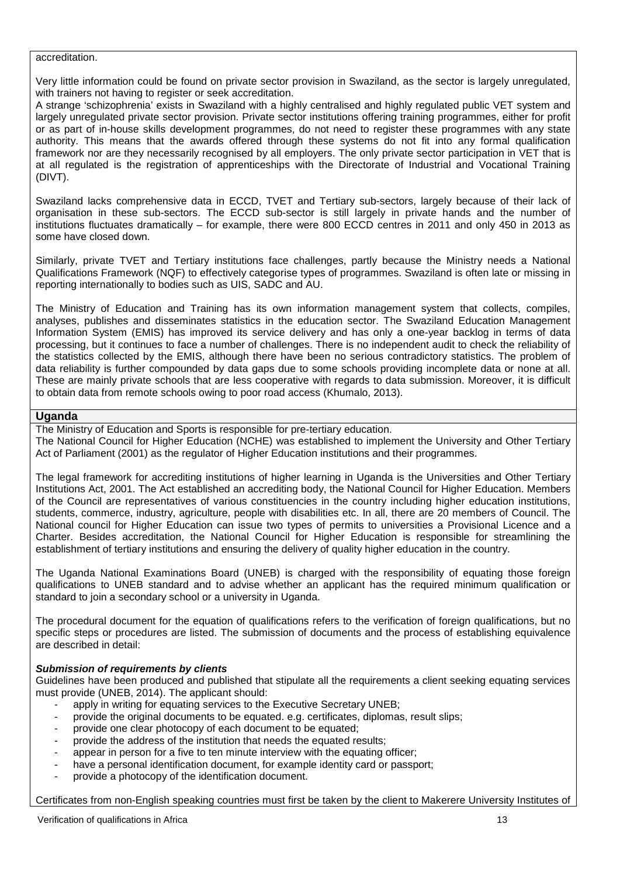#### accreditation.

Very little information could be found on private sector provision in Swaziland, as the sector is largely unregulated, with trainers not having to register or seek accreditation.

A strange 'schizophrenia' exists in Swaziland with a highly centralised and highly regulated public VET system and largely unregulated private sector provision. Private sector institutions offering training programmes, either for profit or as part of in-house skills development programmes, do not need to register these programmes with any state authority. This means that the awards offered through these systems do not fit into any formal qualification framework nor are they necessarily recognised by all employers. The only private sector participation in VET that is at all regulated is the registration of apprenticeships with the Directorate of Industrial and Vocational Training (DIVT).

Swaziland lacks comprehensive data in ECCD, TVET and Tertiary sub-sectors, largely because of their lack of organisation in these sub-sectors. The ECCD sub-sector is still largely in private hands and the number of institutions fluctuates dramatically – for example, there were 800 ECCD centres in 2011 and only 450 in 2013 as some have closed down.

Similarly, private TVET and Tertiary institutions face challenges, partly because the Ministry needs a National Qualifications Framework (NQF) to effectively categorise types of programmes. Swaziland is often late or missing in reporting internationally to bodies such as UIS, SADC and AU.

The Ministry of Education and Training has its own information management system that collects, compiles, analyses, publishes and disseminates statistics in the education sector. The Swaziland Education Management Information System (EMIS) has improved its service delivery and has only a one-year backlog in terms of data processing, but it continues to face a number of challenges. There is no independent audit to check the reliability of the statistics collected by the EMIS, although there have been no serious contradictory statistics. The problem of data reliability is further compounded by data gaps due to some schools providing incomplete data or none at all. These are mainly private schools that are less cooperative with regards to data submission. Moreover, it is difficult to obtain data from remote schools owing to poor road access (Khumalo, 2013).

#### **Uganda**

The Ministry of Education and Sports is responsible for pre-tertiary education.

The National Council for Higher Education (NCHE) was established to implement the University and Other Tertiary Act of Parliament (2001) as the regulator of Higher Education institutions and their programmes.

The legal framework for accrediting institutions of higher learning in Uganda is the Universities and Other Tertiary Institutions Act, 2001. The Act established an accrediting body, the National Council for Higher Education. Members of the Council are representatives of various constituencies in the country including higher education institutions, students, commerce, industry, agriculture, people with disabilities etc. In all, there are 20 members of Council. The National council for Higher Education can issue two types of permits to universities a Provisional Licence and a Charter. Besides accreditation, the National Council for Higher Education is responsible for streamlining the establishment of tertiary institutions and ensuring the delivery of quality higher education in the country.

The Uganda National Examinations Board (UNEB) is charged with the responsibility of equating those foreign qualifications to UNEB standard and to advise whether an applicant has the required minimum qualification or standard to join a secondary school or a university in Uganda.

The procedural document for the equation of qualifications refers to the verification of foreign qualifications, but no specific steps or procedures are listed. The submission of documents and the process of establishing equivalence are described in detail:

#### *Submission of requirements by clients*

Guidelines have been produced and published that stipulate all the requirements a client seeking equating services must provide (UNEB, 2014). The applicant should:

- apply in writing for equating services to the Executive Secretary UNEB;
- provide the original documents to be equated. e.g. certificates, diplomas, result slips;
- provide one clear photocopy of each document to be equated;
- provide the address of the institution that needs the equated results;
- appear in person for a five to ten minute interview with the equating officer;
- have a personal identification document, for example identity card or passport;
- provide a photocopy of the identification document.

Certificates from non-English speaking countries must first be taken by the client to Makerere University Institutes of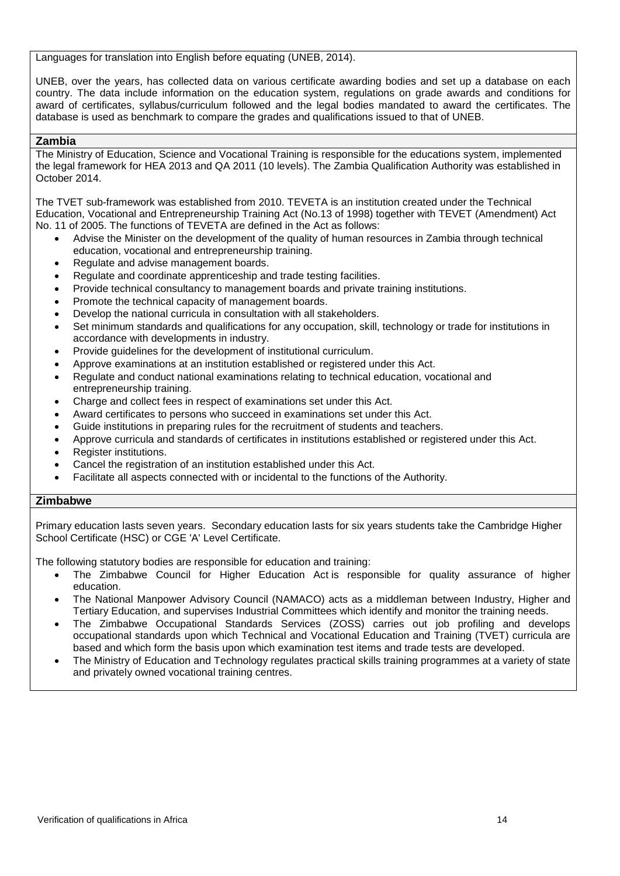Languages for translation into English before equating (UNEB, 2014).

UNEB, over the years, has collected data on various certificate awarding bodies and set up a database on each country. The data include information on the education system, regulations on grade awards and conditions for award of certificates, syllabus/curriculum followed and the legal bodies mandated to award the certificates. The database is used as benchmark to compare the grades and qualifications issued to that of UNEB.

#### **Zambia**

The Ministry of Education, Science and Vocational Training is responsible for the educations system, implemented the legal framework for HEA 2013 and QA 2011 (10 levels). The Zambia Qualification Authority was established in October 2014.

The TVET sub-framework was established from 2010. TEVETA is an institution created under the Technical Education, Vocational and Entrepreneurship Training Act (No.13 of 1998) together with TEVET (Amendment) Act No. 11 of 2005. The functions of TEVETA are defined in the Act as follows:

- Advise the Minister on the development of the quality of human resources in Zambia through technical education, vocational and entrepreneurship training.
- Regulate and advise management boards.
- Regulate and coordinate apprenticeship and trade testing facilities.
- Provide technical consultancy to management boards and private training institutions.
- Promote the technical capacity of management boards.
- Develop the national curricula in consultation with all stakeholders.
- Set minimum standards and qualifications for any occupation, skill, technology or trade for institutions in accordance with developments in industry.
- Provide guidelines for the development of institutional curriculum.
- Approve examinations at an institution established or registered under this Act.
- Regulate and conduct national examinations relating to technical education, vocational and entrepreneurship training.
- Charge and collect fees in respect of examinations set under this Act.
- Award certificates to persons who succeed in examinations set under this Act.
- Guide institutions in preparing rules for the recruitment of students and teachers.
- Approve curricula and standards of certificates in institutions established or registered under this Act.
- Register institutions.
- Cancel the registration of an institution established under this Act.
- Facilitate all aspects connected with or incidental to the functions of the Authority.

#### **Zimbabwe**

Primary education lasts seven years. Secondary education lasts for six years students take the Cambridge Higher School Certificate (HSC) or CGE 'A' Level Certificate.

The following statutory bodies are responsible for education and training:

- The Zimbabwe Council for Higher Education Act is responsible for quality assurance of higher education.
- The National Manpower Advisory Council (NAMACO) acts as a middleman between Industry, Higher and Tertiary Education, and supervises Industrial Committees which identify and monitor the training needs.
- The Zimbabwe Occupational Standards Services (ZOSS) carries out job profiling and develops occupational standards upon which Technical and Vocational Education and Training (TVET) curricula are based and which form the basis upon which examination test items and trade tests are developed.
- The Ministry of Education and Technology regulates practical skills training programmes at a variety of state and privately owned vocational training centres.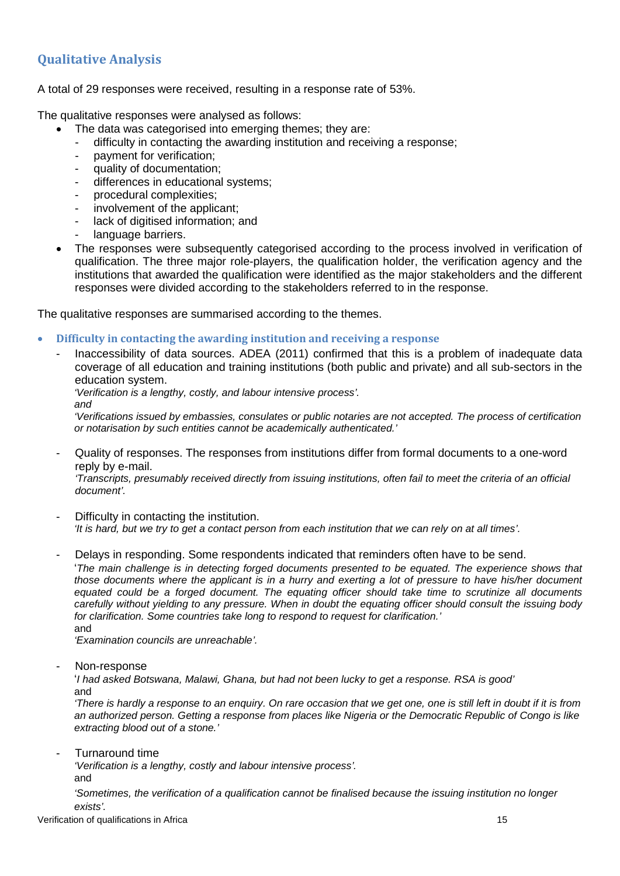# <span id="page-17-0"></span>**Qualitative Analysis**

A total of 29 responses were received, resulting in a response rate of 53%.

The qualitative responses were analysed as follows:

- The data was categorised into emerging themes; they are:
	- difficulty in contacting the awarding institution and receiving a response;
	- payment for verification;
	- quality of documentation;
- differences in educational systems;<br>- procedural complexities:
- procedural complexities;
- involvement of the applicant;
- lack of digitised information; and
- language barriers.
- The responses were subsequently categorised according to the process involved in verification of qualification. The three major role-players, the qualification holder, the verification agency and the institutions that awarded the qualification were identified as the major stakeholders and the different responses were divided according to the stakeholders referred to in the response.

<span id="page-17-1"></span>The qualitative responses are summarised according to the themes.

- **Difficulty in contacting the awarding institution and receiving a response**
	- Inaccessibility of data sources. ADEA (2011) confirmed that this is a problem of inadequate data coverage of all education and training institutions (both public and private) and all sub-sectors in the education system.

*'Verification is a lengthy, costly, and labour intensive process'.*

*and*

*'Verifications issued by embassies, consulates or public notaries are not accepted. The process of certification or notarisation by such entities cannot be academically authenticated.'*

- Quality of responses. The responses from institutions differ from formal documents to a one-word reply by e-mail.

*'Transcripts, presumably received directly from issuing institutions, often fail to meet the criteria of an official document'.*

- Difficulty in contacting the institution. *'It is hard, but we try to get a contact person from each institution that we can rely on at all times'.*
- Delays in responding. Some respondents indicated that reminders often have to be send.

'*The main challenge is in detecting forged documents presented to be equated. The experience shows that those documents where the applicant is in a hurry and exerting a lot of pressure to have his/her document equated could be a forged document. The equating officer should take time to scrutinize all documents carefully without yielding to any pressure. When in doubt the equating officer should consult the issuing body for clarification. Some countries take long to respond to request for clarification.'*

and

*'Examination councils are unreachable'.*

Non-response

'*I had asked Botswana, Malawi, Ghana, but had not been lucky to get a response. RSA is good'* and

*'There is hardly a response to an enquiry. On rare occasion that we get one, one is still left in doubt if it is from an authorized person. Getting a response from places like Nigeria or the Democratic Republic of Congo is like extracting blood out of a stone.'*

- Turnaround time

*'Verification is a lengthy, costly and labour intensive process'.*

and

*'Sometimes, the verification of a qualification cannot be finalised because the issuing institution no longer exists'.*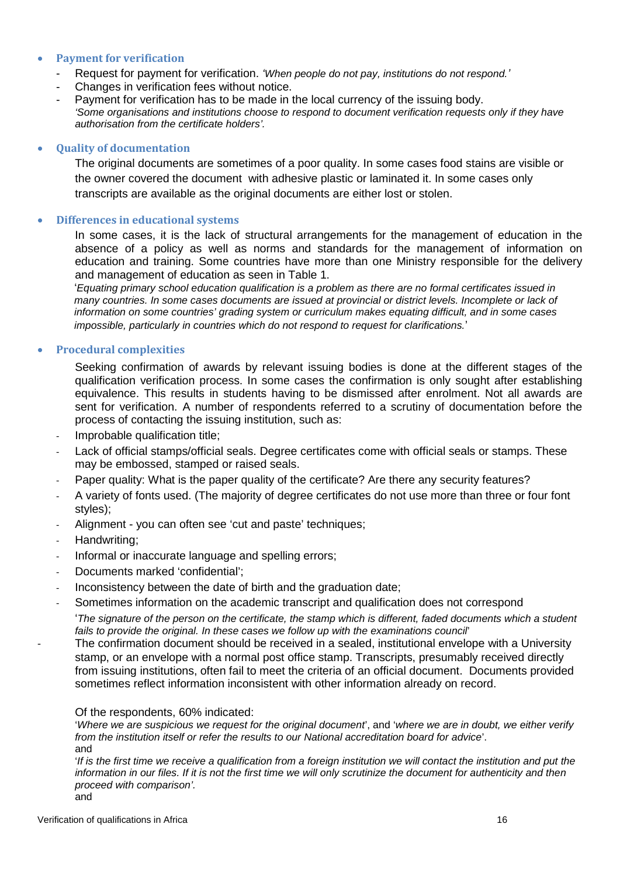### <span id="page-18-0"></span>• **Payment for verification**

- Request for payment for verification. *'When people do not pay, institutions do not respond.'*
- Changes in verification fees without notice.
- Payment for verification has to be made in the local currency of the issuing body. *'Some organisations and institutions choose to respond to document verification requests only if they have authorisation from the certificate holders'.*

### <span id="page-18-1"></span>• **Quality of documentation**

The original documents are sometimes of a poor quality. In some cases food stains are visible or the owner covered the document with adhesive plastic or laminated it. In some cases only transcripts are available as the original documents are either lost or stolen.

### <span id="page-18-2"></span>• **Differences in educational systems**

In some cases, it is the lack of structural arrangements for the management of education in the absence of a policy as well as norms and standards for the management of information on education and training. Some countries have more than one Ministry responsible for the delivery and management of education as seen in Table 1.

'*Equating primary school education qualification is a problem as there are no formal certificates issued in many countries. In some cases documents are issued at provincial or district levels. Incomplete or lack of information on some countries' grading system or curriculum makes equating difficult, and in some cases impossible, particularly in countries which do not respond to request for clarifications.*'

### <span id="page-18-3"></span>• **Procedural complexities**

Seeking confirmation of awards by relevant issuing bodies is done at the different stages of the qualification verification process. In some cases the confirmation is only sought after establishing equivalence. This results in students having to be dismissed after enrolment. Not all awards are sent for verification. A number of respondents referred to a scrutiny of documentation before the process of contacting the issuing institution, such as:

- Improbable qualification title:
- Lack of official stamps/official seals. Degree certificates come with official seals or stamps. These may be embossed, stamped or raised seals.
- Paper quality: What is the paper quality of the certificate? Are there any security features?
- A variety of fonts used. (The majority of degree certificates do not use more than three or four font styles);
- Alignment you can often see 'cut and paste' techniques;
- Handwriting:
- Informal or inaccurate language and spelling errors;
- Documents marked 'confidential';
- Inconsistency between the date of birth and the graduation date;
- Sometimes information on the academic transcript and qualification does not correspond

'*The signature of the person on the certificate, the stamp which is different, faded documents which a student fails to provide the original. In these cases we follow up with the examinations council*'

The confirmation document should be received in a sealed, institutional envelope with a University stamp, or an envelope with a normal post office stamp. Transcripts, presumably received directly from issuing institutions, often fail to meet the criteria of an official document. Documents provided sometimes reflect information inconsistent with other information already on record.

#### Of the respondents, 60% indicated:

'*Where we are suspicious we request for the original document*', and '*where we are in doubt, we either verify from the institution itself or refer the results to our National accreditation board for advice*'. and

*'If is the first time we receive a qualification from a foreign institution we will contact the institution and put the information in our files. If it is not the first time we will only scrutinize the document for authenticity and then proceed with comparison'.* and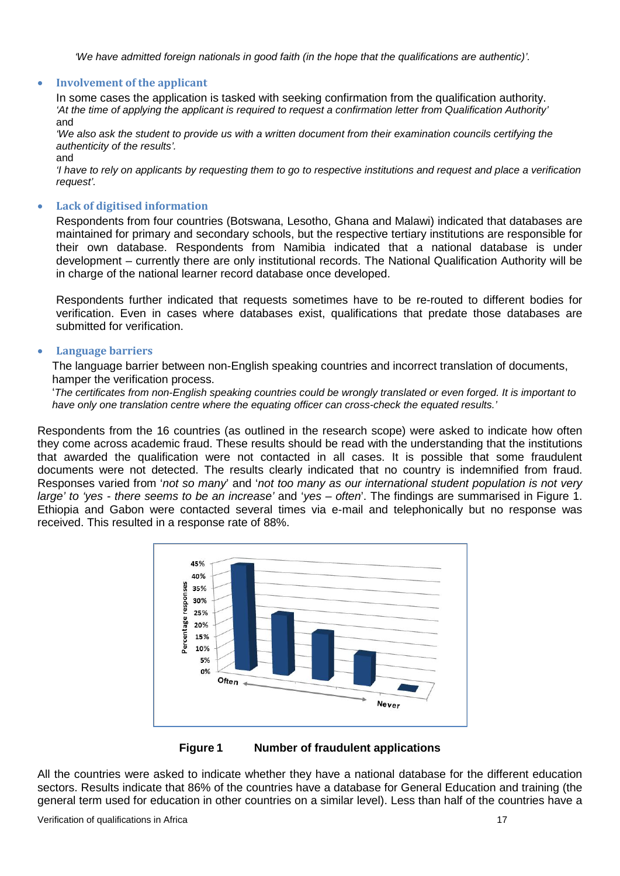*'We have admitted foreign nationals in good faith (in the hope that the qualifications are authentic)'.*

#### <span id="page-19-0"></span>• **Involvement of the applicant**

In some cases the application is tasked with seeking confirmation from the qualification authority. *'At the time of applying the applicant is required to request a confirmation letter from Qualification Authority'* and

*'We also ask the student to provide us with a written document from their examination councils certifying the authenticity of the results'.*

and

*'I have to rely on applicants by requesting them to go to respective institutions and request and place a verification request'.*

#### <span id="page-19-1"></span>• **Lack of digitised information**

Respondents from four countries (Botswana, Lesotho, Ghana and Malawi) indicated that databases are maintained for primary and secondary schools, but the respective tertiary institutions are responsible for their own database. Respondents from Namibia indicated that a national database is under development – currently there are only institutional records. The National Qualification Authority will be in charge of the national learner record database once developed.

Respondents further indicated that requests sometimes have to be re-routed to different bodies for verification. Even in cases where databases exist, qualifications that predate those databases are submitted for verification.

#### <span id="page-19-2"></span>• **Language barriers**

The language barrier between non-English speaking countries and incorrect translation of documents, hamper the verification process.

'*The certificates from non-English speaking countries could be wrongly translated or even forged. It is important to have only one translation centre where the equating officer can cross-check the equated results.'*

Respondents from the 16 countries (as outlined in the research scope) were asked to indicate how often they come across academic fraud. These results should be read with the understanding that the institutions that awarded the qualification were not contacted in all cases. It is possible that some fraudulent documents were not detected. The results clearly indicated that no country is indemnified from fraud. Responses varied from '*not so many*' and '*not too many as our international student population is not very large' to 'yes - there seems to be an increase'* and '*yes – often*'. The findings are summarised in Figure 1. Ethiopia and Gabon were contacted several times via e-mail and telephonically but no response was received. This resulted in a response rate of 88%.





All the countries were asked to indicate whether they have a national database for the different education sectors. Results indicate that 86% of the countries have a database for General Education and training (the general term used for education in other countries on a similar level). Less than half of the countries have a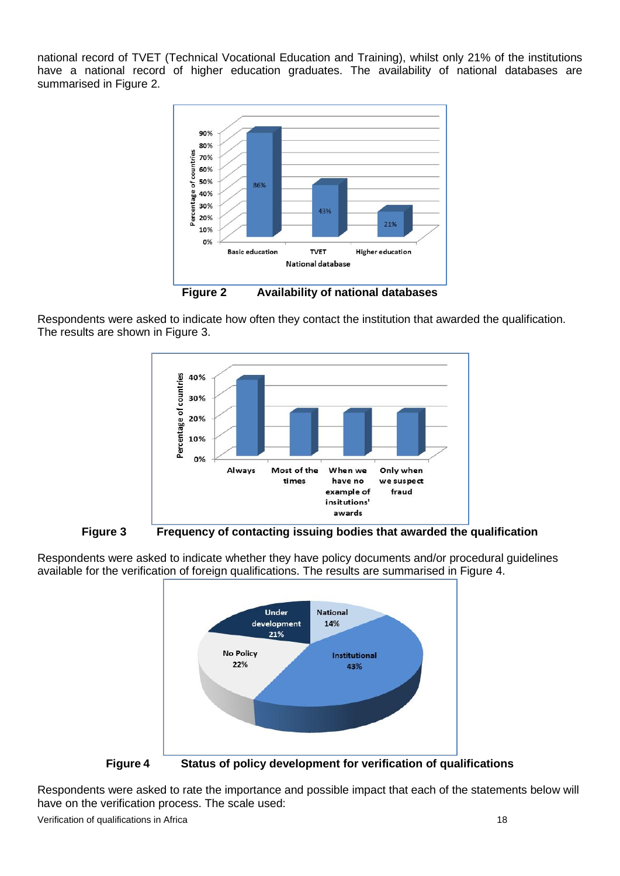national record of TVET (Technical Vocational Education and Training), whilst only 21% of the institutions have a national record of higher education graduates. The availability of national databases are summarised in Figure 2.



Respondents were asked to indicate how often they contact the institution that awarded the qualification. The results are shown in Figure 3.



**Figure 3 Frequency of contacting issuing bodies that awarded the qualification**



Respondents were asked to indicate whether they have policy documents and/or procedural guidelines available for the verification of foreign qualifications. The results are summarised in Figure 4.

Respondents were asked to rate the importance and possible impact that each of the statements below will have on the verification process. The scale used:

Verification of qualifications in Africa 18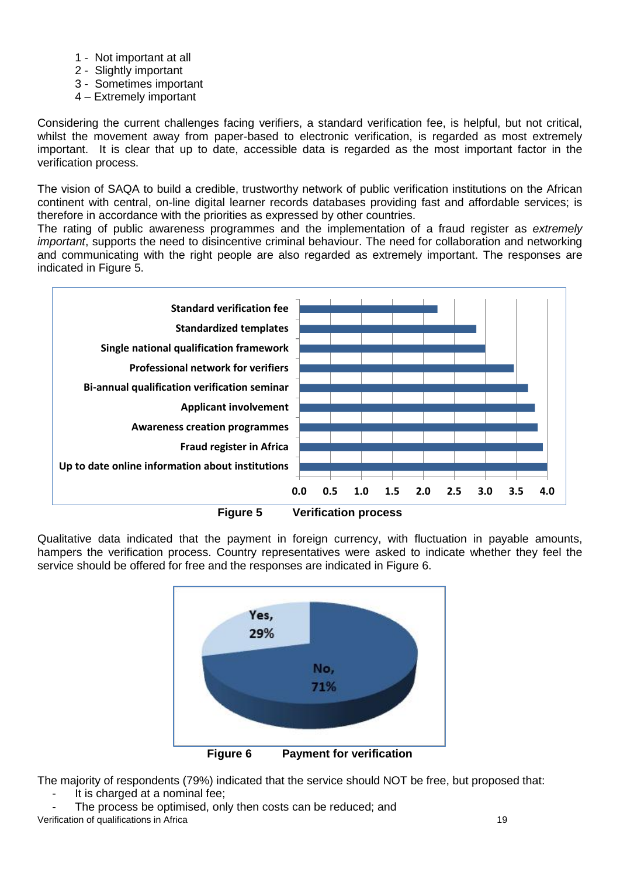- 1 Not important at all
- 2 Slightly important
- 3 Sometimes important
- 4 Extremely important

Considering the current challenges facing verifiers, a standard verification fee, is helpful, but not critical, whilst the movement away from paper-based to electronic verification, is regarded as most extremely important. It is clear that up to date, accessible data is regarded as the most important factor in the verification process.

The vision of SAQA to build a credible, trustworthy network of public verification institutions on the African continent with central, on-line digital learner records databases providing fast and affordable services; is therefore in accordance with the priorities as expressed by other countries.

The rating of public awareness programmes and the implementation of a fraud register as *extremely important*, supports the need to disincentive criminal behaviour. The need for collaboration and networking and communicating with the right people are also regarded as extremely important. The responses are indicated in Figure 5.



Qualitative data indicated that the payment in foreign currency, with fluctuation in payable amounts, hampers the verification process. Country representatives were asked to indicate whether they feel the service should be offered for free and the responses are indicated in Figure 6.



The majority of respondents (79%) indicated that the service should NOT be free, but proposed that:

- It is charged at a nominal fee:
- The process be optimised, only then costs can be reduced; and Verification of qualifications in Africa 19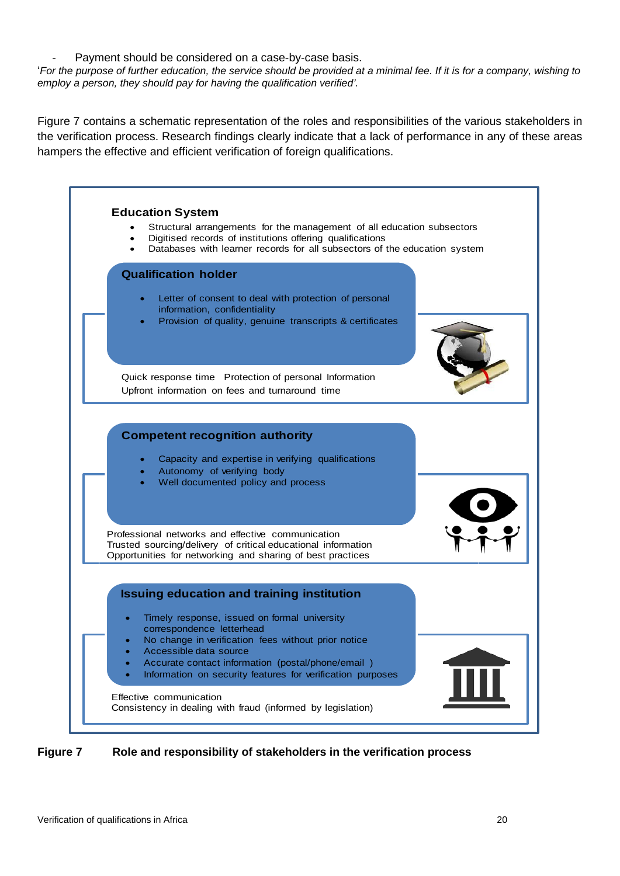Payment should be considered on a case-by-case basis.

'*For the purpose of further education, the service should be provided at a minimal fee. If it is for a company, wishing to employ a person, they should pay for having the qualification verified'.*

Figure 7 contains a schematic representation of the roles and responsibilities of the various stakeholders in the verification process. Research findings clearly indicate that a lack of performance in any of these areas hampers the effective and efficient verification of foreign qualifications.



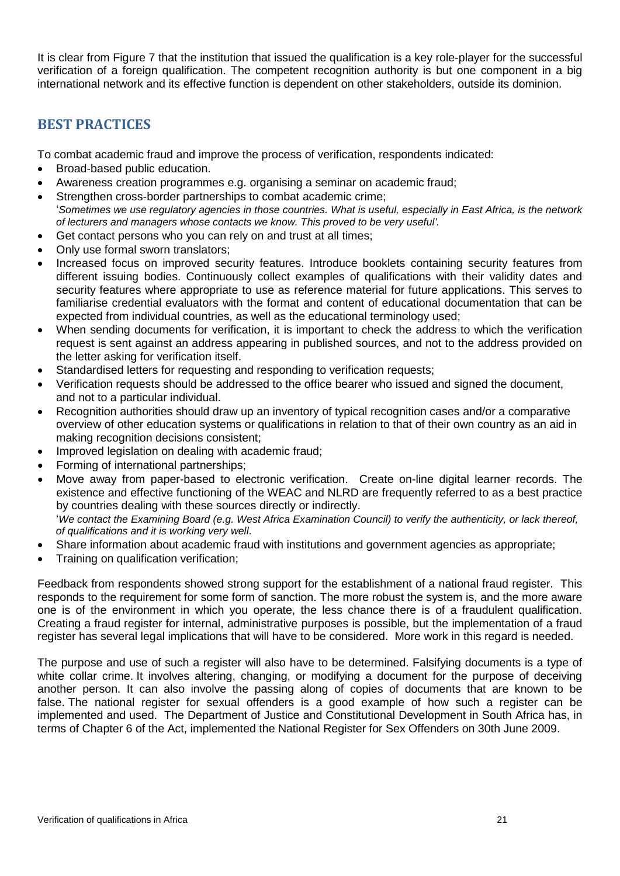It is clear from Figure 7 that the institution that issued the qualification is a key role-player for the successful verification of a foreign qualification. The competent recognition authority is but one component in a big international network and its effective function is dependent on other stakeholders, outside its dominion.

# <span id="page-23-0"></span>**BEST PRACTICES**

To combat academic fraud and improve the process of verification, respondents indicated:

- Broad-based public education.
- Awareness creation programmes e.g. organising a seminar on academic fraud;
- Strengthen cross-border partnerships to combat academic crime; '*Sometimes we use regulatory agencies in those countries. What is useful, especially in East Africa, is the network of lecturers and managers whose contacts we know. This proved to be very useful'.*
- Get contact persons who you can rely on and trust at all times;
- Only use formal sworn translators;
- Increased focus on improved security features. Introduce booklets containing security features from different issuing bodies. Continuously collect examples of qualifications with their validity dates and security features where appropriate to use as reference material for future applications. This serves to familiarise credential evaluators with the format and content of educational documentation that can be expected from individual countries, as well as the educational terminology used;
- When sending documents for verification, it is important to check the address to which the verification request is sent against an address appearing in published sources, and not to the address provided on the letter asking for verification itself.
- Standardised letters for requesting and responding to verification requests;
- Verification requests should be addressed to the office bearer who issued and signed the document, and not to a particular individual.
- Recognition authorities should draw up an inventory of typical recognition cases and/or a comparative overview of other education systems or qualifications in relation to that of their own country as an aid in making recognition decisions consistent;
- Improved legislation on dealing with academic fraud;
- Forming of international partnerships;
- Move away from paper-based to electronic verification. Create on-line digital learner records. The existence and effective functioning of the WEAC and NLRD are frequently referred to as a best practice by countries dealing with these sources directly or indirectly. '*We contact the Examining Board (e.g. West Africa Examination Council) to verify the authenticity, or lack thereof, of qualifications and it is working very well*.
- Share information about academic fraud with institutions and government agencies as appropriate;
- Training on qualification verification;

Feedback from respondents showed strong support for the establishment of a national fraud register. This responds to the requirement for some form of sanction. The more robust the system is, and the more aware one is of the environment in which you operate, the less chance there is of a fraudulent qualification. Creating a fraud register for internal, administrative purposes is possible, but the implementation of a fraud register has several legal implications that will have to be considered. More work in this regard is needed.

The purpose and use of such a register will also have to be determined. Falsifying documents is a type of white collar crime. It involves altering, changing, or modifying a document for the purpose of deceiving another person. It can also involve the passing along of copies of documents that are known to be false. The national register for sexual offenders is a good example of how such a register can be implemented and used. The Department of Justice and Constitutional Development in South Africa has, in terms of Chapter 6 of the Act, implemented the National Register for Sex Offenders on 30th June 2009.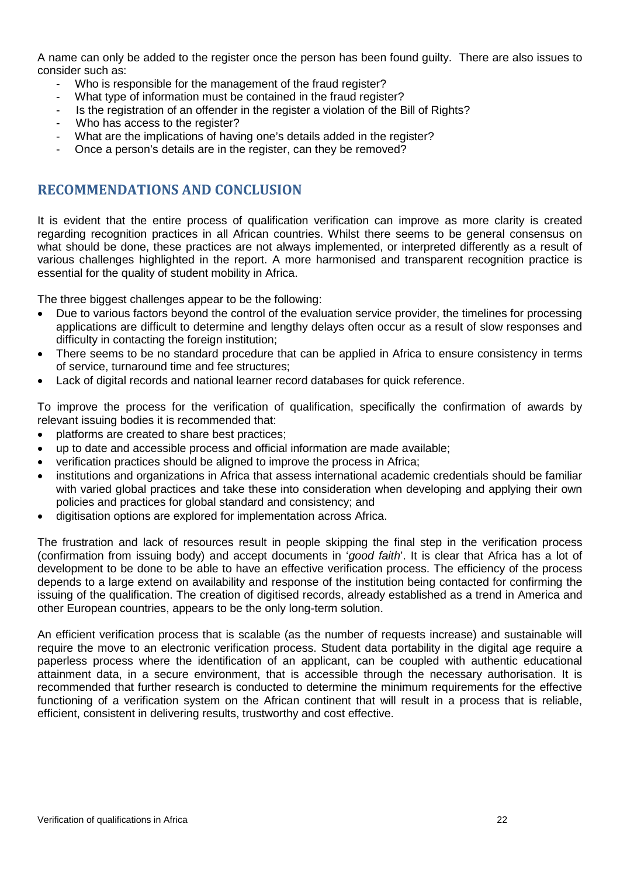A name can only be added to the register once the person has been found guilty. There are also issues to consider such as:

- Who is responsible for the management of the fraud register?
- What type of information must be contained in the fraud register?
- Is the registration of an offender in the register a violation of the Bill of Rights?
- Who has access to the register?
- What are the implications of having one's details added in the register?
- <span id="page-24-0"></span>Once a person's details are in the register, can they be removed?

## **RECOMMENDATIONS AND CONCLUSION**

It is evident that the entire process of qualification verification can improve as more clarity is created regarding recognition practices in all African countries. Whilst there seems to be general consensus on what should be done, these practices are not always implemented, or interpreted differently as a result of various challenges highlighted in the report. A more harmonised and transparent recognition practice is essential for the quality of student mobility in Africa.

The three biggest challenges appear to be the following:

- Due to various factors beyond the control of the evaluation service provider, the timelines for processing applications are difficult to determine and lengthy delays often occur as a result of slow responses and difficulty in contacting the foreign institution;
- There seems to be no standard procedure that can be applied in Africa to ensure consistency in terms of service, turnaround time and fee structures;
- Lack of digital records and national learner record databases for quick reference.

To improve the process for the verification of qualification, specifically the confirmation of awards by relevant issuing bodies it is recommended that:

- platforms are created to share best practices;
- up to date and accessible process and official information are made available;
- verification practices should be aligned to improve the process in Africa;
- institutions and organizations in Africa that assess international academic credentials should be familiar with varied global practices and take these into consideration when developing and applying their own policies and practices for global standard and consistency; and
- digitisation options are explored for implementation across Africa.

The frustration and lack of resources result in people skipping the final step in the verification process (confirmation from issuing body) and accept documents in '*good faith*'. It is clear that Africa has a lot of development to be done to be able to have an effective verification process. The efficiency of the process depends to a large extend on availability and response of the institution being contacted for confirming the issuing of the qualification. The creation of digitised records, already established as a trend in America and other European countries, appears to be the only long-term solution.

An efficient verification process that is scalable (as the number of requests increase) and sustainable will require the move to an electronic verification process. Student data portability in the digital age require a paperless process where the identification of an applicant, can be coupled with authentic educational attainment data, in a secure environment, that is accessible through the necessary authorisation. It is recommended that further research is conducted to determine the minimum requirements for the effective functioning of a verification system on the African continent that will result in a process that is reliable, efficient, consistent in delivering results, trustworthy and cost effective.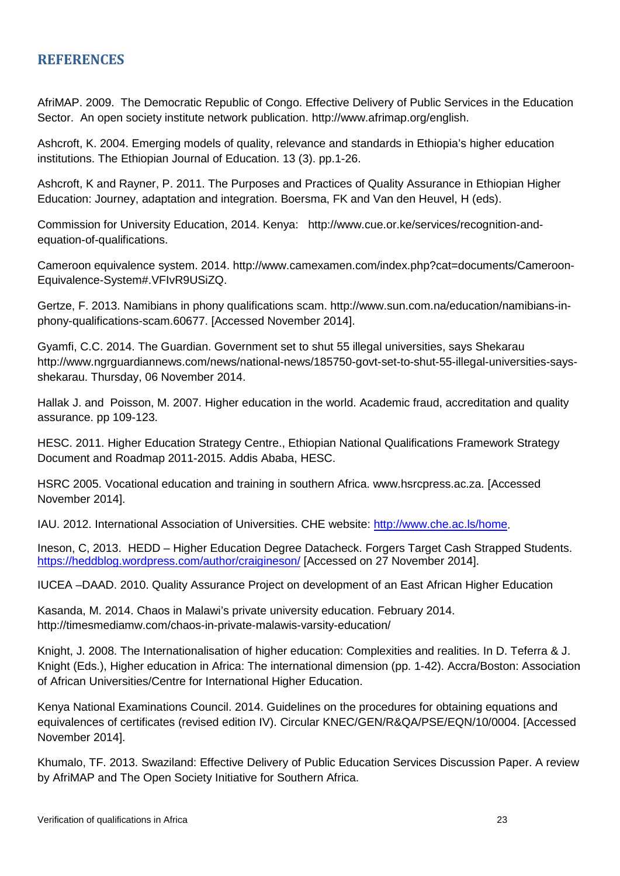## <span id="page-25-0"></span>**REFERENCES**

AfriMAP. 2009. The Democratic Republic of Congo. Effective Delivery of Public Services in the Education Sector. An open society institute network publication. http://www.afrimap.org/english.

Ashcroft, K. 2004. Emerging models of quality, relevance and standards in Ethiopia's higher education institutions. The Ethiopian Journal of Education. 13 (3). pp.1-26.

Ashcroft, K and Rayner, P. 2011. The Purposes and Practices of Quality Assurance in Ethiopian Higher Education: Journey, adaptation and integration. Boersma, FK and Van den Heuvel, H (eds).

Commission for University Education, 2014. Kenya: http://www.cue.or.ke/services/recognition-andequation-of-qualifications.

Cameroon equivalence system. 2014. http://www.camexamen.com/index.php?cat=documents/Cameroon-Equivalence-System#.VFIvR9USiZQ.

Gertze, F. 2013. Namibians in phony qualifications scam. http://www.sun.com.na/education/namibians-inphony-qualifications-scam.60677. [Accessed November 2014].

Gyamfi, C.C. 2014. The Guardian. Government set to shut 55 illegal universities, says Shekarau http://www.ngrguardiannews.com/news/national-news/185750-govt-set-to-shut-55-illegal-universities-saysshekarau. Thursday, 06 November 2014.

Hallak J. and Poisson, M. 2007. Higher education in the world. Academic fraud, accreditation and quality assurance. pp 109-123.

HESC. 2011. Higher Education Strategy Centre., Ethiopian National Qualifications Framework Strategy Document and Roadmap 2011-2015. Addis Ababa, HESC.

HSRC 2005. Vocational education and training in southern Africa. www.hsrcpress.ac.za. [Accessed November 2014].

IAU. 2012. International Association of Universities. CHE website: [http://www.che.ac.ls/home.](http://www.che.ac.ls/home)

Ineson, C, 2013. HEDD – Higher Education Degree Datacheck. Forgers Target Cash Strapped Students. <https://heddblog.wordpress.com/author/craigineson/> [Accessed on 27 November 2014].

IUCEA –DAAD. 2010. Quality Assurance Project on development of an East African Higher Education

Kasanda, M. 2014. Chaos in Malawi's private university education. February 2014. http://timesmediamw.com/chaos-in-private-malawis-varsity-education/

Knight, J. 2008. The Internationalisation of higher education: Complexities and realities. In D. Teferra & J. Knight (Eds.), Higher education in Africa: The international dimension (pp. 1-42). Accra/Boston: Association of African Universities/Centre for International Higher Education.

Kenya National Examinations Council. 2014. Guidelines on the procedures for obtaining equations and equivalences of certificates (revised edition IV). Circular KNEC/GEN/R&QA/PSE/EQN/10/0004. [Accessed November 2014].

Khumalo, TF. 2013. Swaziland: Effective Delivery of Public Education Services Discussion Paper. A review by AfriMAP and The Open Society Initiative for Southern Africa.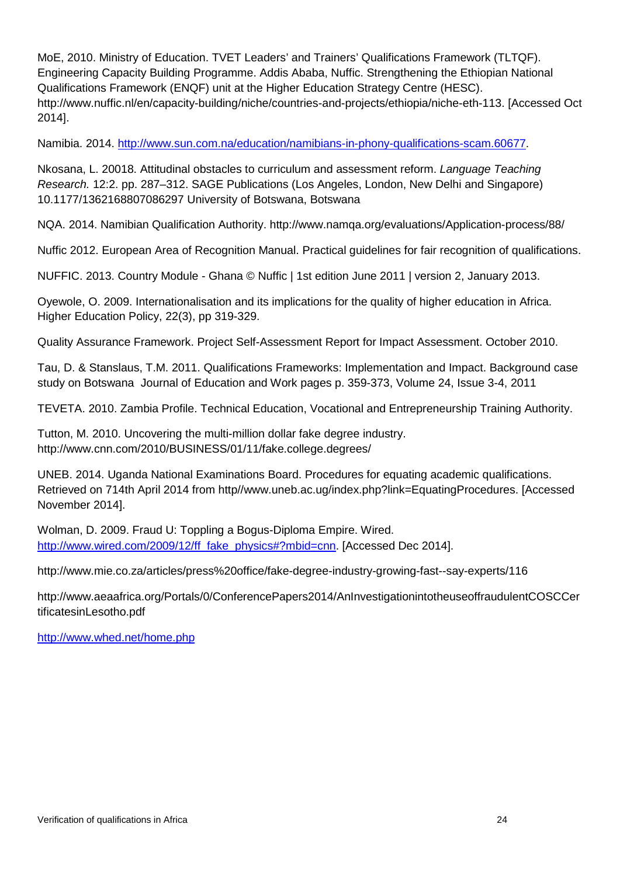MoE, 2010. Ministry of Education. TVET Leaders' and Trainers' Qualifications Framework (TLTQF). Engineering Capacity Building Programme. Addis Ababa, Nuffic. Strengthening the Ethiopian National Qualifications Framework (ENQF) unit at the Higher Education Strategy Centre (HESC). http://www.nuffic.nl/en/capacity-building/niche/countries-and-projects/ethiopia/niche-eth-113. [Accessed Oct 2014].

Namibia. 2014. [http://www.sun.com.na/education/namibians-in-phony-qualifications-scam.60677.](http://www.sun.com.na/education/namibians-in-phony-qualifications-scam.60677)

Nkosana, L. 20018. Attitudinal obstacles to curriculum and assessment reform. *Language Teaching Research.* 12:2. pp. 287–312. SAGE Publications (Los Angeles, London, New Delhi and Singapore) 10.1177/1362168807086297 University of Botswana, Botswana

NQA. 2014. Namibian Qualification Authority. http://www.namqa.org/evaluations/Application-process/88/

Nuffic 2012. European Area of Recognition Manual. Practical guidelines for fair recognition of qualifications.

NUFFIC. 2013. Country Module - Ghana © Nuffic | 1st edition June 2011 | version 2, January 2013.

Oyewole, O. 2009. Internationalisation and its implications for the quality of higher education in Africa. Higher Education Policy, 22(3), pp 319-329.

Quality Assurance Framework. Project Self-Assessment Report for Impact Assessment. October 2010.

Tau, D. & Stanslaus, T.M. 2011. Qualifications Frameworks: Implementation and Impact. Background case study on Botswana Journal of Education and Work pages p. 359-373, Volume 24, Issue 3-4, 2011

TEVETA. 2010. Zambia Profile. Technical Education, Vocational and Entrepreneurship Training Authority.

Tutton, M. 2010. Uncovering the multi-million dollar fake degree industry. http://www.cnn.com/2010/BUSINESS/01/11/fake.college.degrees/

UNEB. 2014. Uganda National Examinations Board. Procedures for equating academic qualifications. Retrieved on 714th April 2014 from http//www.uneb.ac.ug/index.php?link=EquatingProcedures. [Accessed November 2014].

Wolman, D. 2009. Fraud U: Toppling a Bogus-Diploma Empire. Wired. [http://www.wired.com/2009/12/ff\\_fake\\_physics#?mbid=cnn.](http://www.wired.com/2009/12/ff_fake_physics%23?mbid=cnn) [Accessed Dec 2014].

http://www.mie.co.za/articles/press%20office/fake-degree-industry-growing-fast--say-experts/116

http://www.aeaafrica.org/Portals/0/ConferencePapers2014/AnInvestigationintotheuseoffraudulentCOSCCer tificatesinLesotho.pdf

<http://www.whed.net/home.php>